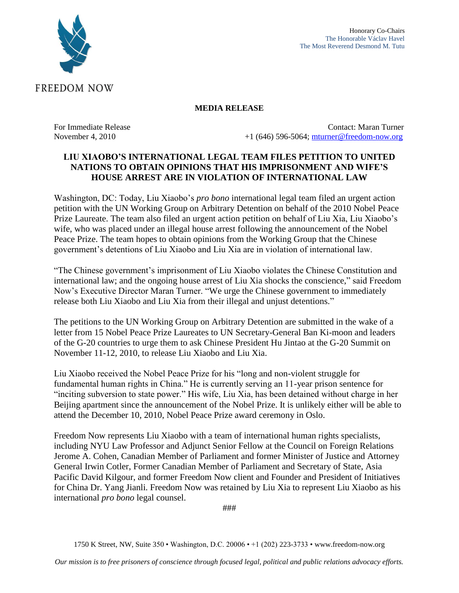

### **MEDIA RELEASE**

For Immediate Release Contact: Maran Turner November 4, 2010 +1 (646) 596-5064; [mturner@freedom-now.org](mailto:mturner@freedom-now.org)

## **LIU XIAOBO'S INTERNATIONAL LEGAL TEAM FILES PETITION TO UNITED NATIONS TO OBTAIN OPINIONS THAT HIS IMPRISONMENT AND WIFE'S HOUSE ARREST ARE IN VIOLATION OF INTERNATIONAL LAW**

Washington, DC: Today, Liu Xiaobo's *pro bono* international legal team filed an urgent action petition with the UN Working Group on Arbitrary Detention on behalf of the 2010 Nobel Peace Prize Laureate. The team also filed an urgent action petition on behalf of Liu Xia, Liu Xiaobo's wife, who was placed under an illegal house arrest following the announcement of the Nobel Peace Prize. The team hopes to obtain opinions from the Working Group that the Chinese government's detentions of Liu Xiaobo and Liu Xia are in violation of international law.

"The Chinese government's imprisonment of Liu Xiaobo violates the Chinese Constitution and international law; and the ongoing house arrest of Liu Xia shocks the conscience," said Freedom Now's Executive Director Maran Turner. "We urge the Chinese government to immediately release both Liu Xiaobo and Liu Xia from their illegal and unjust detentions."

The petitions to the UN Working Group on Arbitrary Detention are submitted in the wake of a letter from 15 Nobel Peace Prize Laureates to UN Secretary-General Ban Ki-moon and leaders of the G-20 countries to urge them to ask Chinese President Hu Jintao at the G-20 Summit on November 11-12, 2010, to release Liu Xiaobo and Liu Xia.

Liu Xiaobo received the Nobel Peace Prize for his "long and non-violent struggle for fundamental human rights in China." He is currently serving an 11-year prison sentence for "inciting subversion to state power." His wife, Liu Xia, has been detained without charge in her Beijing apartment since the announcement of the Nobel Prize. It is unlikely either will be able to attend the December 10, 2010, Nobel Peace Prize award ceremony in Oslo.

Freedom Now represents Liu Xiaobo with a team of international human rights specialists, including NYU Law Professor and Adjunct Senior Fellow at the Council on Foreign Relations Jerome A. Cohen, Canadian Member of Parliament and former Minister of Justice and Attorney General Irwin Cotler, Former Canadian Member of Parliament and Secretary of State, Asia Pacific David Kilgour, and former Freedom Now client and Founder and President of Initiatives for China Dr. Yang Jianli. Freedom Now was retained by Liu Xia to represent Liu Xiaobo as his international *pro bono* legal counsel.

###

1750 K Street, NW, Suite 350 • Washington, D.C. 20006 • +1 (202) 223-3733 • www.freedom-now.org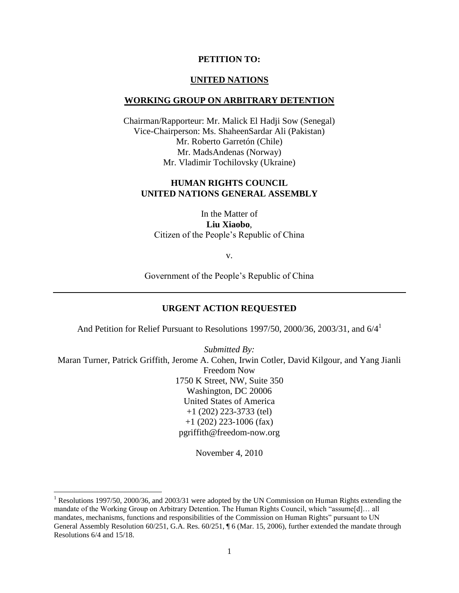### **PETITION TO:**

#### **UNITED NATIONS**

#### **WORKING GROUP ON ARBITRARY DETENTION**

Chairman/Rapporteur: Mr. Malick El Hadji Sow (Senegal) Vice-Chairperson: Ms. ShaheenSardar Ali (Pakistan) Mr. Roberto Garretón (Chile) Mr. MadsAndenas (Norway) Mr. Vladimir Tochilovsky (Ukraine)

### **HUMAN RIGHTS COUNCIL UNITED NATIONS GENERAL ASSEMBLY**

In the Matter of **Liu Xiaobo**, Citizen of the People"s Republic of China

v.

Government of the People"s Republic of China

### **URGENT ACTION REQUESTED**

And Petition for Relief Pursuant to Resolutions 1997/50, 2000/36, 2003/31, and 6/4<sup>1</sup>

*Submitted By:* Maran Turner, Patrick Griffith, Jerome A. Cohen, Irwin Cotler, David Kilgour, and Yang Jianli Freedom Now 1750 K Street, NW, Suite 350 Washington, DC 20006 United States of America +1 (202) 223-3733 (tel) +1 (202) 223-1006 (fax) pgriffith@freedom-now.org

November 4, 2010

<sup>&</sup>lt;sup>1</sup> Resolutions 1997/50, 2000/36, and 2003/31 were adopted by the UN Commission on Human Rights extending the mandate of the Working Group on Arbitrary Detention. The Human Rights Council, which "assume[d]… all mandates, mechanisms, functions and responsibilities of the Commission on Human Rights" pursuant to UN General Assembly Resolution 60/251, G.A. Res. 60/251, ¶ 6 (Mar. 15, 2006), further extended the mandate through Resolutions 6/4 and 15/18.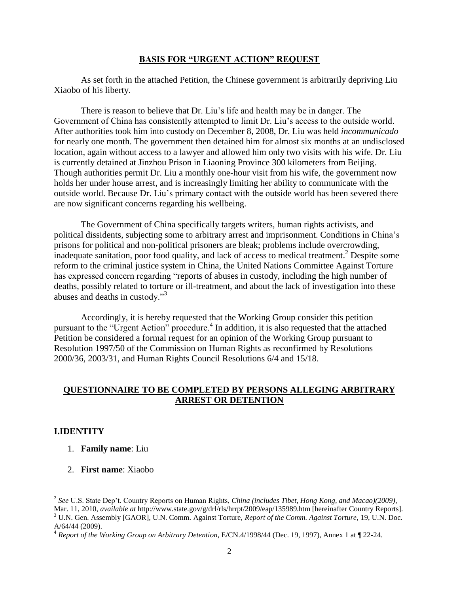#### **BASIS FOR "URGENT ACTION" REQUEST**

As set forth in the attached Petition, the Chinese government is arbitrarily depriving Liu Xiaobo of his liberty.

There is reason to believe that Dr. Liu"s life and health may be in danger. The Government of China has consistently attempted to limit Dr. Liu"s access to the outside world. After authorities took him into custody on December 8, 2008, Dr. Liu was held *incommunicado*  for nearly one month. The government then detained him for almost six months at an undisclosed location, again without access to a lawyer and allowed him only two visits with his wife. Dr. Liu is currently detained at Jinzhou Prison in Liaoning Province 300 kilometers from Beijing. Though authorities permit Dr. Liu a monthly one-hour visit from his wife, the government now holds her under house arrest, and is increasingly limiting her ability to communicate with the outside world. Because Dr. Liu"s primary contact with the outside world has been severed there are now significant concerns regarding his wellbeing.

The Government of China specifically targets writers, human rights activists, and political dissidents, subjecting some to arbitrary arrest and imprisonment. Conditions in China"s prisons for political and non-political prisoners are bleak; problems include overcrowding, inadequate sanitation, poor food quality, and lack of access to medical treatment.<sup>2</sup> Despite some reform to the criminal justice system in China, the United Nations Committee Against Torture has expressed concern regarding "reports of abuses in custody, including the high number of deaths, possibly related to torture or ill-treatment, and about the lack of investigation into these abuses and deaths in custody."<sup>3</sup>

Accordingly, it is hereby requested that the Working Group consider this petition pursuant to the "Urgent Action" procedure.<sup>4</sup> In addition, it is also requested that the attached Petition be considered a formal request for an opinion of the Working Group pursuant to Resolution 1997/50 of the Commission on Human Rights as reconfirmed by Resolutions 2000/36, 2003/31, and Human Rights Council Resolutions 6/4 and 15/18.

### **QUESTIONNAIRE TO BE COMPLETED BY PERSONS ALLEGING ARBITRARY ARREST OR DETENTION**

### **I.IDENTITY**

- 1. **Family name**: Liu
- 2. **First name**: Xiaobo

 2 *See* U.S. State Dep"t. Country Reports on Human Rights, *China (includes Tibet, Hong Kong, and Macao)(2009)*, Mar. 11, 2010, *available at* http://www.state.gov/g/drl/rls/hrrpt/2009/eap/135989.htm [hereinafter Country Reports].

<sup>3</sup> U.N. Gen. Assembly [GAOR], U.N. Comm. Against Torture, *Report of the Comm. Against Torture*, 19, U.N. Doc. A/64/44 (2009).

<sup>4</sup> *Report of the Working Group on Arbitrary Detention,* E/CN.4/1998/44 (Dec. 19, 1997), Annex 1 at ¶ 22-24.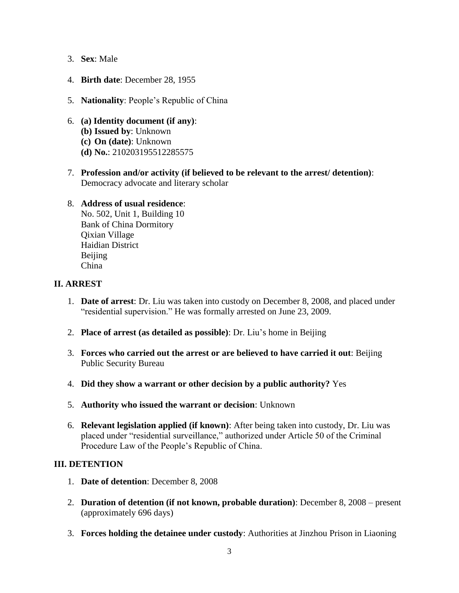- 3. **Sex**: Male
- 4. **Birth date**: December 28, 1955
- 5. **Nationality**: People"s Republic of China
- 6. **(a) Identity document (if any)**: **(b) Issued by**: Unknown **(c) On (date)**: Unknown **(d) No.**: 210203195512285575
- 7. **Profession and/or activity (if believed to be relevant to the arrest/ detention)**: Democracy advocate and literary scholar

## 8. **Address of usual residence**:

No. 502, Unit 1, Building 10 Bank of China Dormitory Qixian Village Haidian District Beijing China

## **II. ARREST**

- 1. **Date of arrest**: Dr. Liu was taken into custody on December 8, 2008, and placed under "residential supervision." He was formally arrested on June 23, 2009.
- 2. **Place of arrest (as detailed as possible)**: Dr. Liu"s home in Beijing
- 3. **Forces who carried out the arrest or are believed to have carried it out**: Beijing Public Security Bureau
- 4. **Did they show a warrant or other decision by a public authority?** Yes
- 5. **Authority who issued the warrant or decision**: Unknown
- 6. **Relevant legislation applied (if known)**: After being taken into custody, Dr. Liu was placed under "residential surveillance," authorized under Article 50 of the Criminal Procedure Law of the People"s Republic of China.

# **III. DETENTION**

- 1. **Date of detention**: December 8, 2008
- 2. **Duration of detention (if not known, probable duration)**: December 8, 2008 present (approximately 696 days)
- 3. **Forces holding the detainee under custody**: Authorities at Jinzhou Prison in Liaoning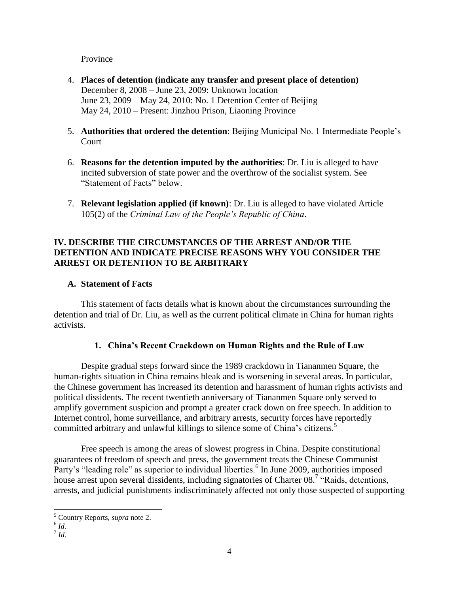Province

- 4. **Places of detention (indicate any transfer and present place of detention)** December 8, 2008 – June 23, 2009: Unknown location June 23, 2009 – May 24, 2010: No. 1 Detention Center of Beijing May 24, 2010 – Present: Jinzhou Prison, Liaoning Province
- 5. **Authorities that ordered the detention**: Beijing Municipal No. 1 Intermediate People"s Court
- 6. **Reasons for the detention imputed by the authorities**: Dr. Liu is alleged to have incited subversion of state power and the overthrow of the socialist system. See "Statement of Facts" below.
- 7. **Relevant legislation applied (if known)**: Dr. Liu is alleged to have violated Article 105(2) of the *Criminal Law of the People's Republic of China*.

# **IV. DESCRIBE THE CIRCUMSTANCES OF THE ARREST AND/OR THE DETENTION AND INDICATE PRECISE REASONS WHY YOU CONSIDER THE ARREST OR DETENTION TO BE ARBITRARY**

## **A. Statement of Facts**

This statement of facts details what is known about the circumstances surrounding the detention and trial of Dr. Liu, as well as the current political climate in China for human rights activists.

# **1. China's Recent Crackdown on Human Rights and the Rule of Law**

Despite gradual steps forward since the 1989 crackdown in Tiananmen Square, the human-rights situation in China remains bleak and is worsening in several areas. In particular, the Chinese government has increased its detention and harassment of human rights activists and political dissidents. The recent twentieth anniversary of Tiananmen Square only served to amplify government suspicion and prompt a greater crack down on free speech. In addition to Internet control, home surveillance, and arbitrary arrests, security forces have reportedly committed arbitrary and unlawful killings to silence some of China's citizens.<sup>5</sup>

Free speech is among the areas of slowest progress in China. Despite constitutional guarantees of freedom of speech and press, the government treats the Chinese Communist Party's "leading role" as superior to individual liberties.<sup>6</sup> In June 2009, authorities imposed house arrest upon several dissidents, including signatories of Charter 08.<sup>7</sup> "Raids, detentions, arrests, and judicial punishments indiscriminately affected not only those suspected of supporting

 $\overline{\phantom{a}}$ <sup>5</sup> Country Reports, *supra* note 2.

<sup>6</sup> *Id*.

<sup>7</sup> *Id*.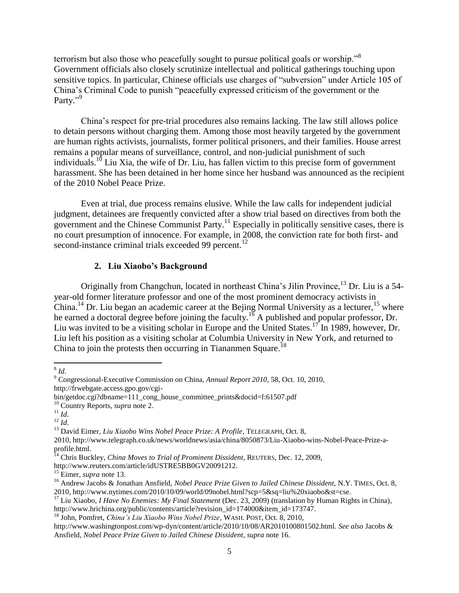terrorism but also those who peacefully sought to pursue political goals or worship."<sup>8</sup> Government officials also closely scrutinize intellectual and political gatherings touching upon sensitive topics. In particular, Chinese officials use charges of "subversion" under Article 105 of China"s Criminal Code to punish "peacefully expressed criticism of the government or the Party."<sup>9</sup>

China"s respect for pre-trial procedures also remains lacking. The law still allows police to detain persons without charging them. Among those most heavily targeted by the government are human rights activists, journalists, former political prisoners, and their families. House arrest remains a popular means of surveillance, control, and non-judicial punishment of such individuals.<sup>10</sup> Liu Xia, the wife of Dr. Liu, has fallen victim to this precise form of government harassment. She has been detained in her home since her husband was announced as the recipient of the 2010 Nobel Peace Prize.

Even at trial, due process remains elusive. While the law calls for independent judicial judgment, detainees are frequently convicted after a show trial based on directives from both the government and the Chinese Communist Party.<sup>11</sup> Especially in politically sensitive cases, there is no court presumption of innocence. For example, in 2008, the conviction rate for both first- and second-instance criminal trials exceeded 99 percent.<sup>12</sup>

## **2. Liu Xiaobo's Background**

Originally from Changchun, located in northeast China's Jilin Province,<sup>13</sup> Dr. Liu is a 54year-old former literature professor and one of the most prominent democracy activists in China.<sup>14</sup> Dr. Liu began an academic career at the Bejing Normal University as a lecturer, <sup>15</sup> where he earned a doctoral degree before joining the faculty.<sup>16</sup> A published and popular professor, Dr. Liu was invited to be a visiting scholar in Europe and the United States.<sup>17</sup> In 1989, however, Dr. Liu left his position as a visiting scholar at Columbia University in New York, and returned to China to join the protests then occurring in Tiananmen Square.<sup>18</sup>

http://www.reuters.com/article/idUSTRE5BB0GV20091212.

 8 *Id*.

<sup>9</sup> Congressional-Executive Commission on China, *Annual Report 2010*, 58, Oct. 10, 2010, http://frwebgate.access.gpo.gov/cgi-

bin/getdoc.cgi?dbname=111\_cong\_house\_committee\_prints&docid=f:61507.pdf

<sup>10</sup> Country Reports, *supra* note 2.

<sup>11</sup> *Id*.

 $\frac{12}{1}$ 

<sup>13</sup> David Eimer, *Liu Xiaobo Wins Nobel Peace Prize: A Profile*, TELEGRAPH, Oct. 8,

<sup>2010,</sup> http://www.telegraph.co.uk/news/worldnews/asia/china/8050873/Liu-Xiaobo-wins-Nobel-Peace-Prize-aprofile.html.

<sup>14</sup> Chris Buckley, *China Moves to Trial of Prominent Dissident*, REUTERS, Dec. 12, 2009,

<sup>15</sup> Eimer, *supra* note 13.

<sup>&</sup>lt;sup>16</sup> Andrew Jacobs & Jonathan Ansfield, *Nobel Peace Prize Given to Jailed Chinese Dissident*, N.Y. TIMES, Oct. 8, 2010, http://www.nytimes.com/2010/10/09/world/09nobel.html?scp=5&sq=liu%20xiaobo&st=cse.

<sup>&</sup>lt;sup>17</sup> Liu Xiaobo, *I Have No Enemies: My Final Statement* (Dec. 23, 2009) (translation by Human Rights in China), http://www.hrichina.org/public/contents/article?revision\_id=174000&item\_id=173747.

<sup>18</sup> John, Pomfret, *China's Liu Xiaobo Wins Nobel Prize*, WASH. POST, Oct. 8, 2010,

http://www.washingtonpost.com/wp-dyn/content/article/2010/10/08/AR2010100801502.html. *See also* Jacobs & Ansfield, *Nobel Peace Prize Given to Jailed Chinese Dissident*, *supra* note 16.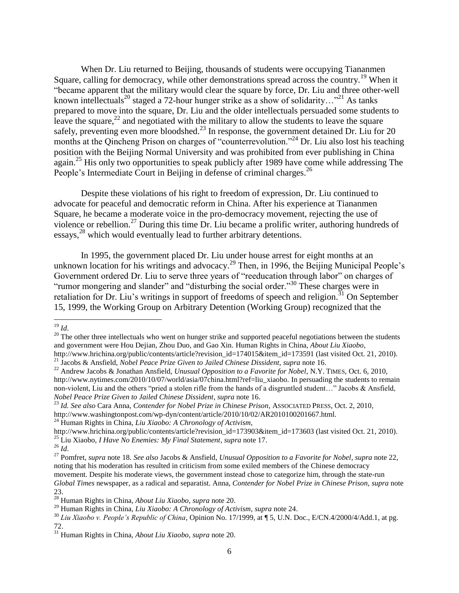When Dr. Liu returned to Beijing, thousands of students were occupying Tiananmen Square, calling for democracy, while other demonstrations spread across the country.<sup>19</sup> When it "became apparent that the military would clear the square by force, Dr. Liu and three other-well known intellectuals<sup>20</sup> staged a 72-hour hunger strike as a show of solidarity...<sup>"21</sup> As tanks prepared to move into the square, Dr. Liu and the older intellectuals persuaded some students to leave the square,  $2^2$  and negotiated with the military to allow the students to leave the square safely, preventing even more bloodshed.<sup>23</sup> In response, the government detained Dr. Liu for 20 months at the Qincheng Prison on charges of "counterrevolution."<sup>24</sup> Dr. Liu also lost his teaching position with the Beijing Normal University and was prohibited from ever publishing in China again.<sup>25</sup> His only two opportunities to speak publicly after 1989 have come while addressing The People's Intermediate Court in Beijing in defense of criminal charges.<sup>26</sup>

Despite these violations of his right to freedom of expression, Dr. Liu continued to advocate for peaceful and democratic reform in China. After his experience at Tiananmen Square, he became a moderate voice in the pro-democracy movement, rejecting the use of violence or rebellion.<sup>27</sup> During this time Dr. Liu became a prolific writer, authoring hundreds of essays,<sup>28</sup> which would eventually lead to further arbitrary detentions.

In 1995, the government placed Dr. Liu under house arrest for eight months at an unknown location for his writings and advocacy.<sup>29</sup> Then, in 1996, the Beijing Municipal People's Government ordered Dr. Liu to serve three years of "reeducation through labor" on charges of "rumor mongering and slander" and "disturbing the social order."<sup>30</sup> These charges were in retaliation for Dr. Liu's writings in support of freedoms of speech and religion.<sup>31</sup> On September 15, 1999, the Working Group on Arbitrary Detention (Working Group) recognized that the

<sup>19</sup> *Id*.

<sup>&</sup>lt;sup>20</sup> The other three intellectuals who went on hunger strike and supported peaceful negotiations between the students and government were Hou Dejian, Zhou Duo, and Gao Xin. Human Rights in China, *About Liu Xiaobo*, http://www.hrichina.org/public/contents/article?revision\_id=174015&item\_id=173591 (last visited Oct. 21, 2010).

<sup>21</sup> Jacobs & Ansfield, *Nobel Peace Prize Given to Jailed Chinese Dissident, supra* note 16.

<sup>&</sup>lt;sup>22</sup> Andrew Jacobs & Jonathan Ansfield, *Unusual Opposition to a Favorite for Nobel*, N.Y. TIMES, Oct. 6, 2010, http://www.nytimes.com/2010/10/07/world/asia/07china.html?ref=liu\_xiaobo. In persuading the students to remain non-violent, Liu and the others "pried a stolen rifle from the hands of a disgruntled student…" Jacobs & Ansfield, *Nobel Peace Prize Given to Jailed Chinese Dissident*, *supra* note 16.

<sup>23</sup> *Id. See also* Cara Anna, *Contender for Nobel Prize in Chinese Prison*, ASSOCIATED PRESS, Oct. 2, 2010, http://www.washingtonpost.com/wp-dyn/content/article/2010/10/02/AR2010100201667.html. <sup>24</sup> Human Rights in China, *Liu Xiaobo: A Chronology of Activism,*

http://www.hrichina.org/public/contents/article?revision\_id=173903&item\_id=173603 (last visited Oct. 21, 2010). <sup>25</sup> Liu Xiaobo, *I Have No Enemies: My Final Statement*, *supra* note 17.

<sup>26</sup> *Id*.

<sup>27</sup> Pomfret, *supra* note 18. *See also* Jacobs & Ansfield, *Unusual Opposition to a Favorite for Nobel*, *supra* note 22, noting that his moderation has resulted in criticism from some exiled members of the Chinese democracy movement. Despite his moderate views, the government instead chose to categorize him, through the state-run *Global Times* newspaper, as a radical and separatist. Anna, *Contender for Nobel Prize in Chinese Prison, supra* note 23.

<sup>28</sup> Human Rights in China, *About Liu Xiaobo*, *supra* note 20.

<sup>29</sup> Human Rights in China, *Liu Xiaobo: A Chronology of Activism*, *supra* note 24.

<sup>30</sup> *Liu Xiaobo v. People's Republic of China*, Opinion No. 17/1999, at ¶ 5, U.N. Doc., E/CN.4/2000/4/Add.1, at pg. 72.

<sup>31</sup> Human Rights in China, *About Liu Xiaobo*, *supra* note 20.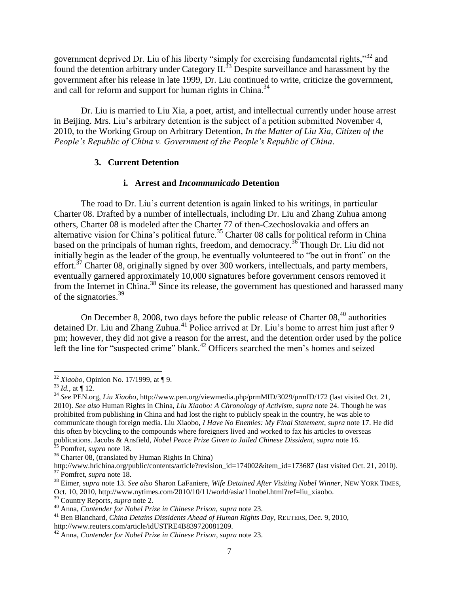government deprived Dr. Liu of his liberty "simply for exercising fundamental rights,"<sup>32</sup> and found the detention arbitrary under Category II.<sup>33</sup> Despite surveillance and harassment by the government after his release in late 1999, Dr. Liu continued to write, criticize the government, and call for reform and support for human rights in China.<sup>34</sup>

Dr. Liu is married to Liu Xia, a poet, artist, and intellectual currently under house arrest in Beijing. Mrs. Liu"s arbitrary detention is the subject of a petition submitted November 4, 2010, to the Working Group on Arbitrary Detention, *In the Matter of Liu Xia, Citizen of the People's Republic of China v. Government of the People's Republic of China*.

### **3. Current Detention**

### **i. Arrest and** *Incommunicado* **Detention**

The road to Dr. Liu"s current detention is again linked to his writings, in particular Charter 08. Drafted by a number of intellectuals, including Dr. Liu and Zhang Zuhua among others, Charter 08 is modeled after the Charter 77 of then-Czechoslovakia and offers an alternative vision for China's political future.<sup>35</sup> Charter 08 calls for political reform in China based on the principals of human rights, freedom, and democracy.<sup>36</sup> Though Dr. Liu did not initially begin as the leader of the group, he eventually volunteered to "be out in front" on the effort.<sup>37</sup> Charter 08, originally signed by over 300 workers, intellectuals, and party members, eventually garnered approximately 10,000 signatures before government censors removed it from the Internet in China.<sup>38</sup> Since its release, the government has questioned and harassed many of the signatories.<sup>39</sup>

On December 8, 2008, two days before the public release of Charter  $08<sup>40</sup>$  authorities detained Dr. Liu and Zhang Zuhua.<sup>41</sup> Police arrived at Dr. Liu's home to arrest him just after 9 pm; however, they did not give a reason for the arrest, and the detention order used by the police left the line for "suspected crime" blank.<sup>42</sup> Officers searched the men's homes and seized

<sup>36</sup> Charter 08, (translated by Human Rights In China)

<sup>38</sup> Eimer, *supra* note 13. *See also* Sharon LaFaniere, *Wife Detained After Visiting Nobel Winner*, NEW YORK TIMES, Oct. 10, 2010, http://www.nytimes.com/2010/10/11/world/asia/11nobel.html?ref=liu\_xiaobo.

 $\overline{\phantom{a}}$ <sup>32</sup> *Xiaobo*, Opinion No. 17/1999, at ¶ 9.

 $33$  *Id.*, at  $\P$  12.

<sup>34</sup> *See* PEN.org, *Liu Xiaobo*, http://www.pen.org/viewmedia.php/prmMID/3029/prmID/172 (last visited Oct. 21, 2010). *See also* Human Rights in China, *Liu Xiaobo: A Chronology of Activism*, *supra* note 24. Though he was prohibited from publishing in China and had lost the right to publicly speak in the country, he was able to communicate though foreign media. Liu Xiaobo, *I Have No Enemies: My Final Statement*, *supra* note 17. He did this often by bicycling to the compounds where foreigners lived and worked to fax his articles to overseas publications. Jacobs & Ansfield, *Nobel Peace Prize Given to Jailed Chinese Dissident, supra* note 16. <sup>35</sup> Pomfret, *supra* note 18.

http://www.hrichina.org/public/contents/article?revision\_id=174002&item\_id=173687 (last visited Oct. 21, 2010). <sup>37</sup> Pomfret, *supra* note 18.

<sup>39</sup> Country Reports, *supra* note 2.

<sup>40</sup> Anna, *Contender for Nobel Prize in Chinese Prison, supra* note 23.

<sup>41</sup> Ben Blanchard, *China Detains Dissidents Ahead of Human Rights Day*, REUTERS, Dec. 9, 2010,

http://www.reuters.com/article/idUSTRE4B839720081209.

<sup>42</sup> Anna, *Contender for Nobel Prize in Chinese Prison*, *supra* note 23.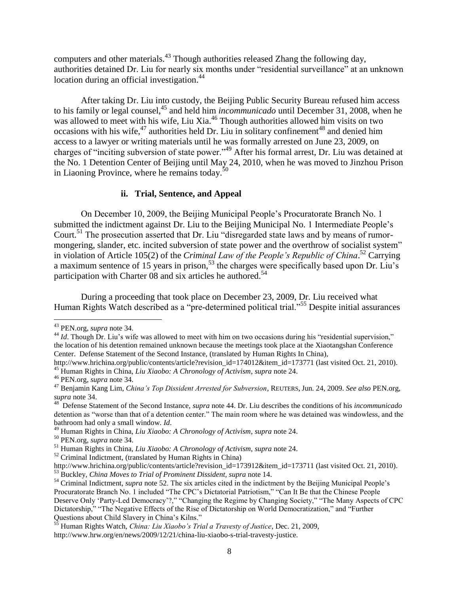computers and other materials.<sup>43</sup> Though authorities released Zhang the following day, authorities detained Dr. Liu for nearly six months under "residential surveillance" at an unknown location during an official investigation.<sup>44</sup>

After taking Dr. Liu into custody, the Beijing Public Security Bureau refused him access to his family or legal counsel,<sup>45</sup> and held him *incommunicado* until December 31, 2008, when he was allowed to meet with his wife, Liu Xia.<sup>46</sup> Though authorities allowed him visits on two occasions with his wife,  $47$  authorities held Dr. Liu in solitary confinement<sup>48</sup> and denied him access to a lawyer or writing materials until he was formally arrested on June 23, 2009, on charges of "inciting subversion of state power."<sup>49</sup> After his formal arrest, Dr. Liu was detained at the No. 1 Detention Center of Beijing until May 24, 2010, when he was moved to Jinzhou Prison in Liaoning Province, where he remains today.<sup>50</sup>

### **ii. Trial, Sentence, and Appeal**

On December 10, 2009, the Beijing Municipal People"s Procuratorate Branch No. 1 submitted the indictment against Dr. Liu to the Beijing Municipal No. 1 Intermediate People's Court.<sup>51</sup> The prosecution asserted that Dr. Liu "disregarded state laws and by means of rumormongering, slander, etc. incited subversion of state power and the overthrow of socialist system" in violation of Article 105(2) of the *Criminal Law of the People's Republic of China*. <sup>52</sup> Carrying a maximum sentence of 15 years in prison,<sup>53</sup> the charges were specifically based upon Dr. Liu's participation with Charter 08 and six articles he authored.<sup>54</sup>

During a proceeding that took place on December 23, 2009, Dr. Liu received what Human Rights Watch described as a "pre-determined political trial."<sup>55</sup> Despite initial assurances

 $\overline{\phantom{a}}$ 

<sup>50</sup> PEN.org, *supra* note 34.

<sup>43</sup> PEN.org, *supra* note 34.

<sup>&</sup>lt;sup>44</sup> *Id*. Though Dr. Liu's wife was allowed to meet with him on two occasions during his "residential supervision," the location of his detention remained unknown because the meetings took place at the Xiaotangshan Conference Center. Defense Statement of the Second Instance, (translated by Human Rights In China),

http://www.hrichina.org/public/contents/article?revision\_id=174012&item\_id=173771 (last visited Oct. 21, 2010). <sup>45</sup> Human Rights in China, *Liu Xiaobo: A Chronology of Activism*, *supra* note 24.

<sup>46</sup> PEN.org, *supra* note 34.

<sup>47</sup> Benjamin Kang Lim, *China's Top Dissident Arrested for Subversion*, REUTERS, Jun. 24, 2009. *See also* PEN.org, *supra* note 34.

<sup>48</sup> Defense Statement of the Second Instance, *supra* note 44. Dr. Liu describes the conditions of his *incommunicado* detention as "worse than that of a detention center." The main room where he was detained was windowless, and the bathroom had only a small window. *Id*.

<sup>49</sup> Human Rights in China, *Liu Xiaobo: A Chronology of Activism*, *supra* note 24.

<sup>51</sup> Human Rights in China, *Liu Xiaobo: A Chronology of Activism*, *supra* note 24.

 $52$  Criminal Indictment, (translated by Human Rights in China)

http://www.hrichina.org/public/contents/article?revision\_id=173912&item\_id=173711 (last visited Oct. 21, 2010). <sup>53</sup> Buckley, *China Moves to Trial of Prominent Dissident, supra* note 14.

<sup>&</sup>lt;sup>54</sup> Criminal Indictment, *supra* note 52. The six articles cited in the indictment by the Beijing Municipal People's Procuratorate Branch No. 1 included "The CPC"s Dictatorial Patriotism," "Can It Be that the Chinese People Deserve Only "Party-Led Democracy"?," "Changing the Regime by Changing Society," "The Many Aspects of CPC Dictatorship," "The Negative Effects of the Rise of Dictatorship on World Democratization," and "Further Questions about Child Slavery in China"s Kilns."

<sup>55</sup> Human Rights Watch, *China: Liu Xiaobo's Trial a Travesty of Justice*, Dec. 21, 2009,

http://www.hrw.org/en/news/2009/12/21/china-liu-xiaobo-s-trial-travesty-justice.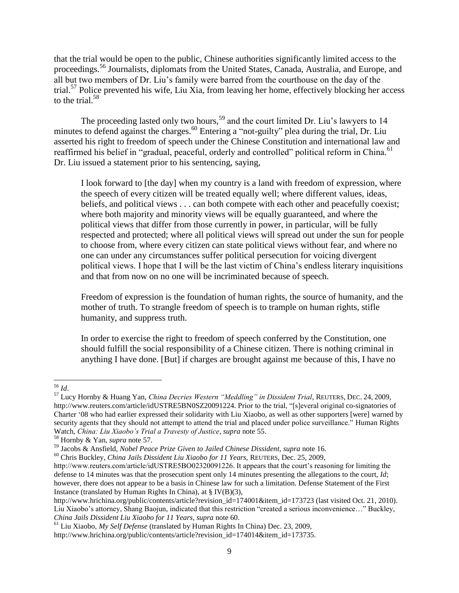that the trial would be open to the public, Chinese authorities significantly limited access to the proceedings.<sup>56</sup> Journalists, diplomats from the United States, Canada, Australia, and Europe, and all but two members of Dr. Liu"s family were barred from the courthouse on the day of the trial.<sup>57</sup> Police prevented his wife, Liu Xia, from leaving her home, effectively blocking her access to the trial.<sup>58</sup>

The proceeding lasted only two hours,<sup>59</sup> and the court limited Dr. Liu's lawyers to 14 minutes to defend against the charges.<sup>60</sup> Entering a "not-guilty" plea during the trial, Dr. Liu asserted his right to freedom of speech under the Chinese Constitution and international law and reaffirmed his belief in "gradual, peaceful, orderly and controlled" political reform in China.<sup>61</sup> Dr. Liu issued a statement prior to his sentencing, saying,

I look forward to [the day] when my country is a land with freedom of expression, where the speech of every citizen will be treated equally well; where different values, ideas, beliefs, and political views . . . can both compete with each other and peacefully coexist; where both majority and minority views will be equally guaranteed, and where the political views that differ from those currently in power, in particular, will be fully respected and protected; where all political views will spread out under the sun for people to choose from, where every citizen can state political views without fear, and where no one can under any circumstances suffer political persecution for voicing divergent political views. I hope that I will be the last victim of China"s endless literary inquisitions and that from now on no one will be incriminated because of speech.

Freedom of expression is the foundation of human rights, the source of humanity, and the mother of truth. To strangle freedom of speech is to trample on human rights, stifle humanity, and suppress truth.

In order to exercise the right to freedom of speech conferred by the Constitution, one should fulfill the social responsibility of a Chinese citizen. There is nothing criminal in anything I have done. [But] if charges are brought against me because of this, I have no

 $\overline{a}$ <sup>56</sup> *Id*.

<sup>57</sup> Lucy Hornby & Huang Yan, *China Decries Western "Meddling" in Dissident Trial*, REUTERS, DEC. 24, 2009, http://www.reuters.com/article/idUSTRE5BN0SZ20091224. Prior to the trial, "[s]everal original co-signatories of Charter "08 who had earlier expressed their solidarity with Liu Xiaobo, as well as other supporters [were] warned by security agents that they should not attempt to attend the trial and placed under police surveillance." Human Rights Watch, *China: Liu Xiaobo's Trial a Travesty of Justice*, *supra* note 55.

<sup>58</sup> Hornby & Yan, *supra* note 57.

<sup>59</sup> Jacobs & Ansfield, *Nobel Peace Prize Given to Jailed Chinese Dissident, supra* note 16.

<sup>60</sup> Chris Buckley, *China Jails Dissident Liu Xiaobo for 11 Years,* REUTERS, Dec. 25, 2009,

http://www.reuters.com/article/idUSTRE5BO02320091226. It appears that the court's reasoning for limiting the defense to 14 minutes was that the prosecution spent only 14 minutes presenting the allegations to the court, *Id*; however, there does not appear to be a basis in Chinese law for such a limitation. Defense Statement of the First Instance (translated by Human Rights In China), at § IV(B)(3),

http://www.hrichina.org/public/contents/article?revision\_id=174001&item\_id=173723 (last visited Oct. 21, 2010). Liu Xiaobo"s attorney, Shang Baojun, indicated that this restriction "created a serious inconvenience…" Buckley, *China Jails Dissident Liu Xiaobo for 11 Years, supra* note 60.

<sup>61</sup> Liu Xiaobo, *My Self Defense* (translated by Human Rights In China) Dec. 23, 2009,

http://www.hrichina.org/public/contents/article?revision\_id=174014&item\_id=173735.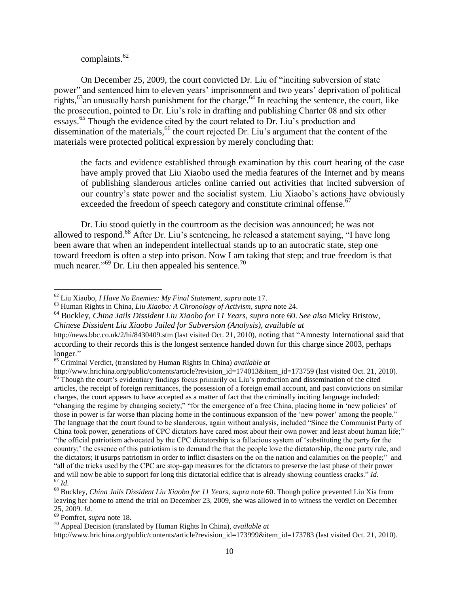complaints.<sup>62</sup>

On December 25, 2009, the court convicted Dr. Liu of "inciting subversion of state power" and sentenced him to eleven years' imprisonment and two years' deprivation of political rights,  $^{63}$ an unusually harsh punishment for the charge.<sup>64</sup> In reaching the sentence, the court, like the prosecution, pointed to Dr. Liu"s role in drafting and publishing Charter 08 and six other essays.<sup>65</sup> Though the evidence cited by the court related to Dr. Liu's production and dissemination of the materials,<sup>66</sup> the court rejected Dr. Liu's argument that the content of the materials were protected political expression by merely concluding that:

the facts and evidence established through examination by this court hearing of the case have amply proved that Liu Xiaobo used the media features of the Internet and by means of publishing slanderous articles online carried out activities that incited subversion of our country"s state power and the socialist system. Liu Xiaobo"s actions have obviously exceeded the freedom of speech category and constitute criminal offense.<sup>67</sup>

Dr. Liu stood quietly in the courtroom as the decision was announced; he was not allowed to respond.<sup>68</sup> After Dr. Liu's sentencing, he released a statement saying, "I have long been aware that when an independent intellectual stands up to an autocratic state, step one toward freedom is often a step into prison. Now I am taking that step; and true freedom is that much nearer."<sup>69</sup> Dr. Liu then appealed his sentence.<sup>70</sup>

 $\overline{a}$ 

http://www.hrichina.org/public/contents/article?revision\_id=173999&item\_id=173783 (last visited Oct. 21, 2010).

<sup>62</sup> Liu Xiaobo, *I Have No Enemies: My Final Statement*, *supra* note 17.

<sup>63</sup> Human Rights in China, *Liu Xiaobo: A Chronology of Activism*, *supra* note 24.

<sup>64</sup> Buckley, *China Jails Dissident Liu Xiaobo for 11 Years, supra* note 60. *See also* Micky Bristow, *Chinese Dissident Liu Xiaobo Jailed for Subversion (Analysis)*, *available at* 

http://news.bbc.co.uk/2/hi/8430409.stm (last visited Oct. 21, 2010), noting that "Amnesty International said that according to their records this is the longest sentence handed down for this charge since 2003, perhaps longer."

<sup>65</sup> Criminal Verdict, (translated by Human Rights In China) *available at* 

http://www.hrichina.org/public/contents/article?revision\_id=174013&item\_id=173759 (last visited Oct. 21, 2010). <sup>66</sup> Though the court's evidentiary findings focus primarily on Liu's production and dissemination of the cited articles, the receipt of foreign remittances, the possession of a foreign email account, and past convictions on similar charges, the court appears to have accepted as a matter of fact that the criminally inciting language included: "changing the regime by changing society;" "for the emergence of a free China, placing home in "new policies" of those in power is far worse than placing home in the continuous expansion of the "new power" among the people." The language that the court found to be slanderous, again without analysis, included "Since the Communist Party of China took power, generations of CPC dictators have cared most about their own power and least about human life;" "the official patriotism advocated by the CPC dictatorship is a fallacious system of "substituting the party for the country;" the essence of this patriotism is to demand the that the people love the dictatorship, the one party rule, and the dictators; it usurps patriotism in order to inflict disasters on the on the nation and calamities on the people;" and "all of the tricks used by the CPC are stop-gap measures for the dictators to preserve the last phase of their power and will now be able to support for long this dictatorial edifice that is already showing countless cracks." *Id*.  $^{67}$  *Id.* 

<sup>68</sup> Buckley, *China Jails Dissident Liu Xiaobo for 11 Years, supra* note 60. Though police prevented Liu Xia from leaving her home to attend the trial on December 23, 2009, she was allowed in to witness the verdict on December 25, 2009. *Id*.

<sup>69</sup> Pomfret, *supra* note 18.

<sup>70</sup> Appeal Decision (translated by Human Rights In China), *available at*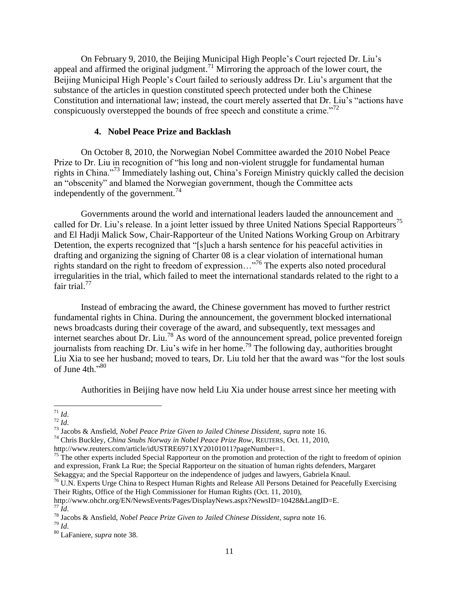On February 9, 2010, the Beijing Municipal High People"s Court rejected Dr. Liu"s appeal and affirmed the original judgment.<sup>71</sup> Mirroring the approach of the lower court, the Beijing Municipal High People's Court failed to seriously address Dr. Liu's argument that the substance of the articles in question constituted speech protected under both the Chinese Constitution and international law; instead, the court merely asserted that Dr. Liu"s "actions have conspicuously overstepped the bounds of free speech and constitute a crime.<sup>772</sup>

### **4. Nobel Peace Prize and Backlash**

On October 8, 2010, the Norwegian Nobel Committee awarded the 2010 Nobel Peace Prize to Dr. Liu in recognition of "his long and non-violent struggle for fundamental human rights in China."<sup>73</sup> Immediately lashing out, China"s Foreign Ministry quickly called the decision an "obscenity" and blamed the Norwegian government, though the Committee acts independently of the government.<sup>74</sup>

Governments around the world and international leaders lauded the announcement and called for Dr. Liu's release. In a joint letter issued by three United Nations Special Rapporteurs<sup>75</sup> and El Hadji Malick Sow, Chair-Rapporteur of the United Nations Working Group on Arbitrary Detention, the experts recognized that "[s]uch a harsh sentence for his peaceful activities in drafting and organizing the signing of Charter 08 is a clear violation of international human rights standard on the right to freedom of expression…"<sup>76</sup> The experts also noted procedural irregularities in the trial, which failed to meet the international standards related to the right to a fair trial.<sup>77</sup>

Instead of embracing the award, the Chinese government has moved to further restrict fundamental rights in China. During the announcement, the government blocked international news broadcasts during their coverage of the award, and subsequently, text messages and internet searches about Dr. Liu.<sup>78</sup> As word of the announcement spread, police prevented foreign journalists from reaching Dr. Liu's wife in her home.<sup>79</sup> The following day, authorities brought Liu Xia to see her husband; moved to tears, Dr. Liu told her that the award was "for the lost souls of June  $4th \cdot .80$ 

Authorities in Beijing have now held Liu Xia under house arrest since her meeting with

l <sup>71</sup> *Id*.

 $72 \overline{Id}$ .

<sup>73</sup> Jacobs & Ansfield, *Nobel Peace Prize Given to Jailed Chinese Dissident, supra* note 16.

<sup>74</sup> Chris Buckley, *China Snubs Norway in Nobel Peace Prize Row*, REUTERS, Oct. 11, 2010,

http://www.reuters.com/article/idUSTRE6971XY20101011?pageNumber=1.

<sup>&</sup>lt;sup>75</sup> The other experts included Special Rapporteur on the promotion and protection of the right to freedom of opinion and expression, Frank La Rue; the Special Rapporteur on the situation of human rights defenders, Margaret Sekaggya; and the Special Rapporteur on the independence of judges and lawyers, Gabriela Knaul.

<sup>&</sup>lt;sup>76</sup> U.N. Experts Urge China to Respect Human Rights and Release All Persons Detained for Peacefully Exercising Their Rights, Office of the High Commissioner for Human Rights (Oct. 11, 2010),

http://www.ohchr.org/EN/NewsEvents/Pages/DisplayNews.aspx?NewsID=10428&LangID=E.  $77 \bar{1}$ *d*.

<sup>78</sup> Jacobs & Ansfield, *Nobel Peace Prize Given to Jailed Chinese Dissident*, *supra* note 16.

<sup>79</sup> *Id*.

<sup>80</sup> LaFaniere, *supra* note 38.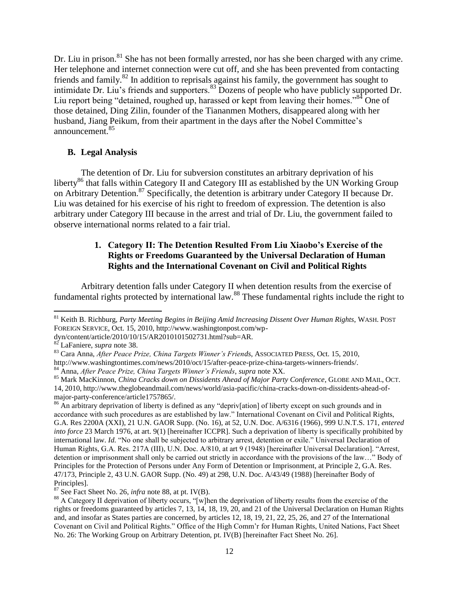Dr. Liu in prison.<sup>81</sup> She has not been formally arrested, nor has she been charged with any crime. Her telephone and internet connection were cut off, and she has been prevented from contacting friends and family.<sup>82</sup> In addition to reprisals against his family, the government has sought to intimidate Dr. Liu's friends and supporters.<sup>83</sup> Dozens of people who have publicly supported Dr. Liu report being "detained, roughed up, harassed or kept from leaving their homes."<sup>84</sup> One of those detained, Ding Zilin, founder of the Tiananmen Mothers, disappeared along with her husband, Jiang Peikum, from their apartment in the days after the Nobel Committee"s announcement.<sup>85</sup>

### **B. Legal Analysis**

The detention of Dr. Liu for subversion constitutes an arbitrary deprivation of his liberty<sup>86</sup> that falls within Category II and Category III as established by the UN Working Group on Arbitrary Detention.<sup>87</sup> Specifically, the detention is arbitrary under Category II because Dr. Liu was detained for his exercise of his right to freedom of expression. The detention is also arbitrary under Category III because in the arrest and trial of Dr. Liu, the government failed to observe international norms related to a fair trial.

## **1. Category II: The Detention Resulted From Liu Xiaobo's Exercise of the Rights or Freedoms Guaranteed by the Universal Declaration of Human Rights and the International Covenant on Civil and Political Rights**

Arbitrary detention falls under Category II when detention results from the exercise of fundamental rights protected by international law.<sup>88</sup> These fundamental rights include the right to

<sup>81</sup> Keith B. Richburg, *Party Meeting Begins in Beijing Amid Increasing Dissent Over Human Rights*, WASH. POST FOREIGN SERVICE, Oct. 15, 2010, http://www.washingtonpost.com/wp-

dyn/content/article/2010/10/15/AR2010101502731.html?sub=AR.

<sup>82</sup> LaFaniere, *supra* note 38.

<sup>83</sup> Cara Anna, *After Peace Prize, China Targets Winner's Friends*, ASSOCIATED PRESS, Oct. 15, 2010, http://www.washingtontimes.com/news/2010/oct/15/after-peace-prize-china-targets-winners-friends/. <sup>84</sup> Anna, *After Peace Prize, China Targets Winner's Friends*, *supra* note XX.

<sup>85</sup> Mark MacKinnon, *China Cracks down on Dissidents Ahead of Major Party Conference*, GLOBE AND MAIL, OCT. 14, 2010, http://www.theglobeandmail.com/news/world/asia-pacific/china-cracks-down-on-dissidents-ahead-of-

major-party-conference/article1757865/.

<sup>&</sup>lt;sup>86</sup> An arbitrary deprivation of liberty is defined as any "depriv[ation] of liberty except on such grounds and in accordance with such procedures as are established by law." International Covenant on Civil and Political Rights, G.A. Res 2200A (XXI), 21 U.N. GAOR Supp. (No. 16), at 52, U.N. Doc. A/6316 (1966), 999 U.N.T.S. 171, *entered into force* 23 March 1976, at art. 9(1) [hereinafter ICCPR]. Such a deprivation of liberty is specifically prohibited by international law. *Id.* "No one shall be subjected to arbitrary arrest, detention or exile." Universal Declaration of Human Rights, G.A. Res. 217A (III), U.N. Doc. A/810, at art 9 (1948) [hereinafter Universal Declaration]. "Arrest, detention or imprisonment shall only be carried out strictly in accordance with the provisions of the law…" Body of Principles for the Protection of Persons under Any Form of Detention or Imprisonment, at Principle 2, G.A. Res. 47/173, Principle 2, 43 U.N. GAOR Supp. (No. 49) at 298, U.N. Doc. A/43/49 (1988) [hereinafter Body of Principles].

<sup>87</sup> See Fact Sheet No. 26, *infra* note 88, at pt. IV(B).

<sup>&</sup>lt;sup>88</sup> A Category II deprivation of liberty occurs, "[w]hen the deprivation of liberty results from the exercise of the rights or freedoms guaranteed by articles 7, 13, 14, 18, 19, 20, and 21 of the Universal Declaration on Human Rights and, and insofar as States parties are concerned, by articles 12, 18, 19, 21, 22, 25, 26, and 27 of the International Covenant on Civil and Political Rights." Office of the High Comm"r for Human Rights, United Nations, Fact Sheet No. 26: The Working Group on Arbitrary Detention, pt. IV(B) [hereinafter Fact Sheet No. 26].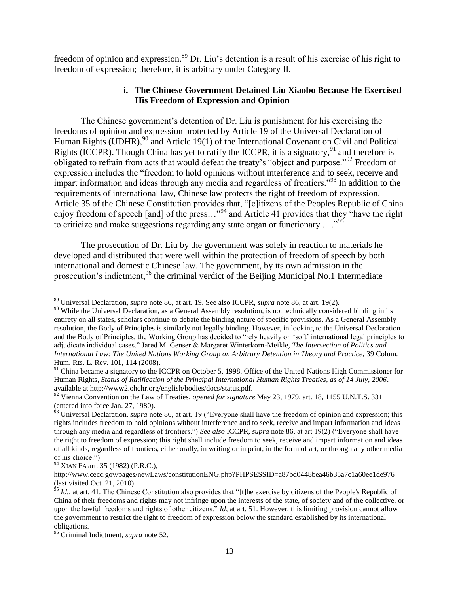freedom of opinion and expression.<sup>89</sup> Dr. Liu's detention is a result of his exercise of his right to freedom of expression; therefore, it is arbitrary under Category II.

### **i. The Chinese Government Detained Liu Xiaobo Because He Exercised His Freedom of Expression and Opinion**

The Chinese government"s detention of Dr. Liu is punishment for his exercising the freedoms of opinion and expression protected by Article 19 of the Universal Declaration of Human Rights (UDHR),  $90$  and Article 19(1) of the International Covenant on Civil and Political Rights (ICCPR). Though China has yet to ratify the ICCPR, it is a signatory,  $91$  and therefore is obligated to refrain from acts that would defeat the treaty"s "object and purpose."<sup>92</sup> Freedom of expression includes the "freedom to hold opinions without interference and to seek, receive and impart information and ideas through any media and regardless of frontiers.<sup>"93</sup> In addition to the requirements of international law, Chinese law protects the right of freedom of expression. Article 35 of the Chinese Constitution provides that, "[c]itizens of the Peoples Republic of China enjoy freedom of speech [and] of the press..."<sup>94</sup> and Article 41 provides that they "have the right" to criticize and make suggestions regarding any state organ or functionary  $\ldots$ <sup>95</sup>

The prosecution of Dr. Liu by the government was solely in reaction to materials he developed and distributed that were well within the protection of freedom of speech by both international and domestic Chinese law. The government, by its own admission in the prosecution's indictment,  $96$  the criminal verdict of the Beijing Municipal No.1 Intermediate

<sup>89</sup> Universal Declaration, *supra* note 86, at art. 19. See also ICCPR, *supra* note 86, at art. 19(2).

<sup>&</sup>lt;sup>90</sup> While the Universal Declaration, as a General Assembly resolution, is not technically considered binding in its entirety on all states, scholars continue to debate the binding nature of specific provisions. As a General Assembly resolution, the Body of Principles is similarly not legally binding. However, in looking to the Universal Declaration and the Body of Principles, the Working Group has decided to "rely heavily on 'soft' international legal principles to adjudicate individual cases." Jared M. Genser & Margaret Winterkorn-Meikle, *The Intersection of Politics and International Law: The United Nations Working Group on Arbitrary Detention in Theory and Practice,* 39 Colum. Hum. Rts. L. Rev. 101, 114 (2008).

<sup>&</sup>lt;sup>91</sup> China became a signatory to the ICCPR on October 5, 1998. Office of the United Nations High Commissioner for Human Rights, *Status of Ratification of the Principal International Human Rights Treaties, as of 14 July, 2006*. available at http://www2.ohchr.org/english/bodies/docs/status.pdf.

<sup>92</sup> Vienna Convention on the Law of Treaties, *opened for signature* May 23, 1979, art. 18, 1155 U.N.T.S. 331 (entered into force Jan. 27, 1980).

<sup>&</sup>lt;sup>93</sup> Universal Declaration, *supra* note 86, at art. 19 ("Everyone shall have the freedom of opinion and expression; this rights includes freedom to hold opinions without interference and to seek, receive and impart information and ideas through any media and regardless of frontiers.") *See also* ICCPR, *supra* note 86, at art 19(2) ("Everyone shall have the right to freedom of expression; this right shall include freedom to seek, receive and impart information and ideas of all kinds, regardless of frontiers, either orally, in writing or in print, in the form of art, or through any other media of his choice.")

<sup>94</sup> XIAN FA art. 35 (1982) (P.R.C.),

http://www.cecc.gov/pages/newLaws/constitutionENG.php?PHPSESSID=a87bd0448bea46b35a7c1a60ee1de976 (last visited Oct. 21, 2010).

 $\frac{\dot{\gamma}_5}{\dot{\gamma}_5}$  *Id.*, at art. 41. The Chinese Constitution also provides that "[t]he exercise by citizens of the People's Republic of China of their freedoms and rights may not infringe upon the interests of the state, of society and of the collective, or upon the lawful freedoms and rights of other citizens." *Id*, at art. 51. However, this limiting provision cannot allow the government to restrict the right to freedom of expression below the standard established by its international obligations.

<sup>96</sup> Criminal Indictment, *supra* note 52.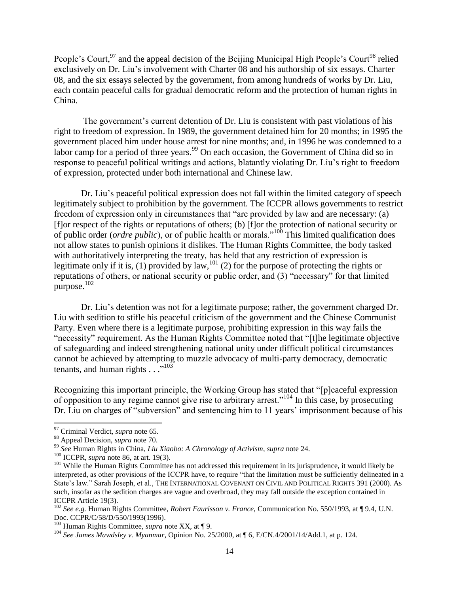People's Court,<sup>97</sup> and the appeal decision of the Beijing Municipal High People's Court<sup>98</sup> relied exclusively on Dr. Liu"s involvement with Charter 08 and his authorship of six essays. Charter 08, and the six essays selected by the government, from among hundreds of works by Dr. Liu, each contain peaceful calls for gradual democratic reform and the protection of human rights in China.

The government's current detention of Dr. Liu is consistent with past violations of his right to freedom of expression. In 1989, the government detained him for 20 months; in 1995 the government placed him under house arrest for nine months; and, in 1996 he was condemned to a labor camp for a period of three years.<sup>99</sup> On each occasion, the Government of China did so in response to peaceful political writings and actions, blatantly violating Dr. Liu"s right to freedom of expression, protected under both international and Chinese law.

Dr. Liu"s peaceful political expression does not fall within the limited category of speech legitimately subject to prohibition by the government. The ICCPR allows governments to restrict freedom of expression only in circumstances that "are provided by law and are necessary: (a) [f]or respect of the rights or reputations of others; (b) [f]or the protection of national security or of public order (*ordre public*), or of public health or morals."<sup>100</sup> This limited qualification does not allow states to punish opinions it dislikes. The Human Rights Committee, the body tasked with authoritatively interpreting the treaty, has held that any restriction of expression is legitimate only if it is, (1) provided by law,<sup>101</sup> (2) for the purpose of protecting the rights or reputations of others, or national security or public order, and (3) "necessary" for that limited purpose. 102

Dr. Liu's detention was not for a legitimate purpose; rather, the government charged Dr. Liu with sedition to stifle his peaceful criticism of the government and the Chinese Communist Party. Even where there is a legitimate purpose, prohibiting expression in this way fails the "necessity" requirement. As the Human Rights Committee noted that "[t]he legitimate objective of safeguarding and indeed strengthening national unity under difficult political circumstances cannot be achieved by attempting to muzzle advocacy of multi-party democracy, democratic tenants, and human rights  $\ldots$ <sup>103</sup>

Recognizing this important principle, the Working Group has stated that "[p]eaceful expression of opposition to any regime cannot give rise to arbitrary arrest."<sup>104</sup> In this case, by prosecuting Dr. Liu on charges of "subversion" and sentencing him to 11 years' imprisonment because of his

 $\overline{\phantom{a}}$ <sup>97</sup> Criminal Verdict, *supra* note 65.

<sup>98</sup> Appeal Decision, *supra* note 70.

<sup>99</sup> *See* Human Rights in China, *Liu Xiaobo: A Chronology of Activism*, *supra* note 24.

<sup>100</sup> ICCPR, *supra* note 86, at art. 19(3).

<sup>&</sup>lt;sup>101</sup> While the Human Rights Committee has not addressed this requirement in its jurisprudence, it would likely be interpreted, as other provisions of the ICCPR have, to require "that the limitation must be sufficiently delineated in a State's law." Sarah Joseph, et al., THE INTERNATIONAL COVENANT ON CIVIL AND POLITICAL RIGHTS 391 (2000). As such, insofar as the sedition charges are vague and overbroad, they may fall outside the exception contained in ICCPR Article 19(3).

<sup>102</sup> *See e.g.* Human Rights Committee, *Robert Faurisson v. France*, Communication No. 550/1993, at ¶ 9.4, U.N. Doc. CCPR/C/58/D/550/1993(1996).

<sup>103</sup> Human Rights Committee, *supra* note XX, at ¶ 9.

<sup>104</sup> *See James Mawdsley v. Myanmar*, Opinion No. 25/2000, at ¶ 6, E/CN.4/2001/14/Add.1, at p. 124.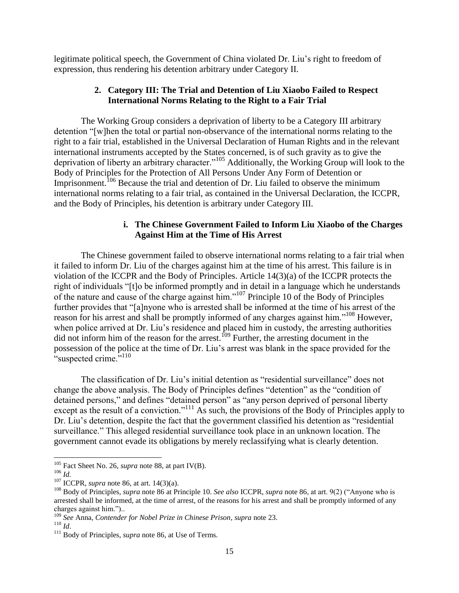legitimate political speech, the Government of China violated Dr. Liu"s right to freedom of expression, thus rendering his detention arbitrary under Category II.

## **2. Category III: The Trial and Detention of Liu Xiaobo Failed to Respect International Norms Relating to the Right to a Fair Trial**

The Working Group considers a deprivation of liberty to be a Category III arbitrary detention "[w]hen the total or partial non-observance of the international norms relating to the right to a fair trial, established in the Universal Declaration of Human Rights and in the relevant international instruments accepted by the States concerned, is of such gravity as to give the deprivation of liberty an arbitrary character."<sup>105</sup> Additionally, the Working Group will look to the Body of Principles for the Protection of All Persons Under Any Form of Detention or Imprisonment.<sup>106</sup> Because the trial and detention of Dr. Liu failed to observe the minimum international norms relating to a fair trial, as contained in the Universal Declaration, the ICCPR, and the Body of Principles, his detention is arbitrary under Category III.

# **i. The Chinese Government Failed to Inform Liu Xiaobo of the Charges Against Him at the Time of His Arrest**

The Chinese government failed to observe international norms relating to a fair trial when it failed to inform Dr. Liu of the charges against him at the time of his arrest. This failure is in violation of the ICCPR and the Body of Principles. Article 14(3)(a) of the ICCPR protects the right of individuals "[t]o be informed promptly and in detail in a language which he understands of the nature and cause of the charge against him."<sup>107</sup> Principle 10 of the Body of Principles further provides that "[a]nyone who is arrested shall be informed at the time of his arrest of the reason for his arrest and shall be promptly informed of any charges against him."<sup>108</sup> However, when police arrived at Dr. Liu's residence and placed him in custody, the arresting authorities did not inform him of the reason for the arrest.<sup>109</sup> Further, the arresting document in the possession of the police at the time of Dr. Liu"s arrest was blank in the space provided for the "suspected crime."<sup>110</sup>

The classification of Dr. Liu"s initial detention as "residential surveillance" does not change the above analysis. The Body of Principles defines "detention" as the "condition of detained persons," and defines "detained person" as "any person deprived of personal liberty except as the result of a conviction."<sup>111</sup> As such, the provisions of the Body of Principles apply to Dr. Liu"s detention, despite the fact that the government classified his detention as "residential surveillance." This alleged residential surveillance took place in an unknown location. The government cannot evade its obligations by merely reclassifying what is clearly detention.

 $\overline{\phantom{a}}$ <sup>105</sup> Fact Sheet No. 26, *supra* note 88, at part IV(B).

<sup>106</sup> *Id.*

<sup>107</sup> ICCPR, *supra* note 86, at art. 14(3)(a).

<sup>108</sup> Body of Principles, *supra* note 86 at Principle 10. *See also* ICCPR, *supra* note 86, at art. 9(2) ("Anyone who is arrested shall be informed, at the time of arrest, of the reasons for his arrest and shall be promptly informed of any charges against him.")..

<sup>109</sup> *See* Anna, *Contender for Nobel Prize in Chinese Prison*, *supra* note 23.

<sup>110</sup> *Id*.

<sup>&</sup>lt;sup>111</sup> Body of Principles, *supra* note 86, at Use of Terms.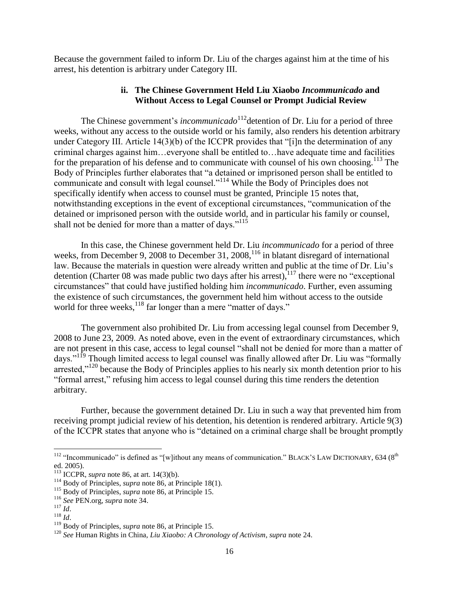Because the government failed to inform Dr. Liu of the charges against him at the time of his arrest, his detention is arbitrary under Category III.

### **ii. The Chinese Government Held Liu Xiaobo** *Incommunicado* **and Without Access to Legal Counsel or Prompt Judicial Review**

The Chinese government's *incommunicado*<sup>112</sup> detention of Dr. Liu for a period of three weeks, without any access to the outside world or his family, also renders his detention arbitrary under Category III. Article 14(3)(b) of the ICCPR provides that "[i]n the determination of any criminal charges against him…everyone shall be entitled to…have adequate time and facilities for the preparation of his defense and to communicate with counsel of his own choosing.<sup>113</sup> The Body of Principles further elaborates that "a detained or imprisoned person shall be entitled to communicate and consult with legal counsel."<sup>114</sup> While the Body of Principles does not specifically identify when access to counsel must be granted, Principle 15 notes that, notwithstanding exceptions in the event of exceptional circumstances, "communication of the detained or imprisoned person with the outside world, and in particular his family or counsel, shall not be denied for more than a matter of days."<sup>115</sup>

In this case, the Chinese government held Dr. Liu *incommunicado* for a period of three weeks, from December 9, 2008 to December 31, 2008,<sup>116</sup> in blatant disregard of international law. Because the materials in question were already written and public at the time of Dr. Liu's detention (Charter 08 was made public two days after his arrest), $117$  there were no "exceptional" circumstances" that could have justified holding him *incommunicado*. Further, even assuming the existence of such circumstances, the government held him without access to the outside world for three weeks, $^{118}$  far longer than a mere "matter of days."

The government also prohibited Dr. Liu from accessing legal counsel from December 9, 2008 to June 23, 2009. As noted above, even in the event of extraordinary circumstances, which are not present in this case, access to legal counsel "shall not be denied for more than a matter of days."<sup>119</sup> Though limited access to legal counsel was finally allowed after Dr. Liu was "formally arrested."<sup>120</sup> because the Body of Principles applies to his nearly six month detention prior to his "formal arrest," refusing him access to legal counsel during this time renders the detention arbitrary.

Further, because the government detained Dr. Liu in such a way that prevented him from receiving prompt judicial review of his detention, his detention is rendered arbitrary. Article 9(3) of the ICCPR states that anyone who is "detained on a criminal charge shall be brought promptly

<sup>&</sup>lt;sup>112</sup> "Incommunicado" is defined as "[w]ithout any means of communication." BLACK's LAW DICTIONARY, 634 (8<sup>th</sup> ed. 2005).

<sup>113</sup> ICCPR, *supra* note 86, at art. 14(3)(b).

<sup>&</sup>lt;sup>114</sup> Body of Principles, *supra* note 86, at Principle 18(1).

<sup>115</sup> Body of Principles, *supra* note 86, at Principle 15.

<sup>116</sup> *See* PEN.org, *supra* note 34.

<sup>117</sup> *Id*.

<sup>118</sup> *Id*.

<sup>119</sup> Body of Principles, *supra* note 86, at Principle 15.

<sup>120</sup> *See* Human Rights in China, *Liu Xiaobo: A Chronology of Activism*, *supra* note 24.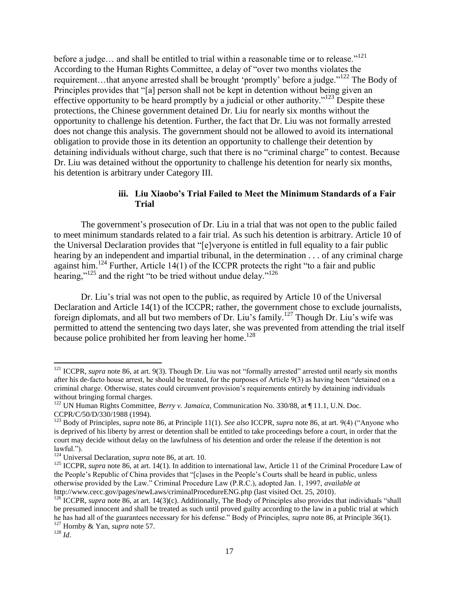before a judge... and shall be entitled to trial within a reasonable time or to release."<sup>121</sup> According to the Human Rights Committee, a delay of "over two months violates the requirement…that anyone arrested shall be brought "promptly" before a judge."<sup>122</sup> The Body of Principles provides that "[a] person shall not be kept in detention without being given an effective opportunity to be heard promptly by a judicial or other authority."<sup>123</sup> Despite these protections, the Chinese government detained Dr. Liu for nearly six months without the opportunity to challenge his detention. Further, the fact that Dr. Liu was not formally arrested does not change this analysis. The government should not be allowed to avoid its international obligation to provide those in its detention an opportunity to challenge their detention by detaining individuals without charge, such that there is no "criminal charge" to contest. Because Dr. Liu was detained without the opportunity to challenge his detention for nearly six months, his detention is arbitrary under Category III.

## **iii. Liu Xiaobo's Trial Failed to Meet the Minimum Standards of a Fair Trial**

The government"s prosecution of Dr. Liu in a trial that was not open to the public failed to meet minimum standards related to a fair trial. As such his detention is arbitrary. Article 10 of the Universal Declaration provides that "[e]veryone is entitled in full equality to a fair public hearing by an independent and impartial tribunal, in the determination . . . of any criminal charge against him.<sup>124</sup> Further, Article 14(1) of the ICCPR protects the right "to a fair and public hearing,"<sup>125</sup> and the right "to be tried without undue delay."<sup>126</sup>

Dr. Liu"s trial was not open to the public, as required by Article 10 of the Universal Declaration and Article 14(1) of the ICCPR; rather, the government chose to exclude journalists, foreign diplomats, and all but two members of Dr. Liu's family.<sup>127</sup> Though Dr. Liu's wife was permitted to attend the sentencing two days later, she was prevented from attending the trial itself because police prohibited her from leaving her home.<sup>128</sup>

<sup>&</sup>lt;sup>121</sup> ICCPR, *supra* note 86, at art. 9(3). Though Dr. Liu was not "formally arrested" arrested until nearly six months after his de-facto house arrest, he should be treated, for the purposes of Article 9(3) as having been "detained on a criminal charge. Otherwise, states could circumvent provision"s requirements entirely by detaining individuals without bringing formal charges.

<sup>122</sup> UN Human Rights Committee, *Berry v. Jamaica*, Communication No. 330/88, at ¶ 11.1, U.N. Doc. CCPR/C/50/D/330/1988 (1994).

<sup>123</sup> Body of Principles, *supra* note 86, at Principle 11(1). *See also* ICCPR, *supra* note 86, at art. 9(4) ("Anyone who is deprived of his liberty by arrest or detention shall be entitled to take proceedings before a court, in order that the court may decide without delay on the lawfulness of his detention and order the release if the detention is not lawful.").

<sup>124</sup> Universal Declaration, *supra* note 86, at art. 10.

<sup>&</sup>lt;sup>125</sup> ICCPR, *supra* note 86, at art. 14(1). In addition to international law, Article 11 of the Criminal Procedure Law of the People"s Republic of China provides that "[c]ases in the People"s Courts shall be heard in public, unless otherwise provided by the Law." Criminal Procedure Law (P.R.C.), adopted Jan. 1, 1997, *available at* http://www.cecc.gov/pages/newLaws/criminalProcedureENG.php (last visited Oct. 25, 2010).

<sup>&</sup>lt;sup>126</sup> ICCPR, *supra* note 86, at art. 14(3)(c). Additionally, The Body of Principles also provides that individuals "shall be presumed innocent and shall be treated as such until proved guilty according to the law in a public trial at which he has had all of the guarantees necessary for his defense." Body of Principles, *supra* note 86, at Principle 36(1). <sup>127</sup> Hornby & Yan, *supra* note 57.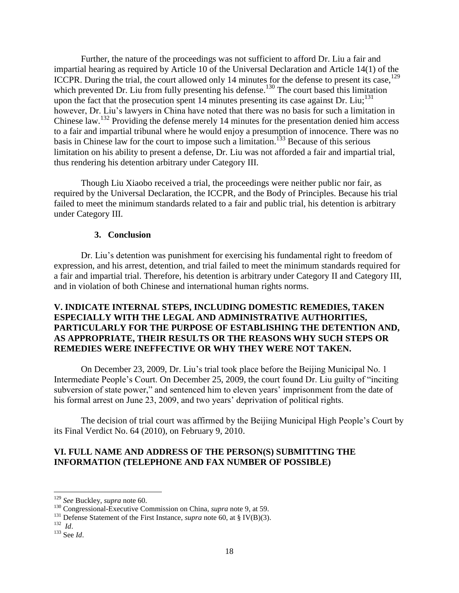Further, the nature of the proceedings was not sufficient to afford Dr. Liu a fair and impartial hearing as required by Article 10 of the Universal Declaration and Article 14(1) of the ICCPR. During the trial, the court allowed only 14 minutes for the defense to present its case,<sup>129</sup> which prevented Dr. Liu from fully presenting his defense.<sup>130</sup> The court based this limitation upon the fact that the prosecution spent 14 minutes presenting its case against Dr. Liu;<sup>131</sup> however, Dr. Liu"s lawyers in China have noted that there was no basis for such a limitation in Chinese law.<sup>132</sup> Providing the defense merely 14 minutes for the presentation denied him access to a fair and impartial tribunal where he would enjoy a presumption of innocence. There was no basis in Chinese law for the court to impose such a limitation.<sup>133</sup> Because of this serious limitation on his ability to present a defense, Dr. Liu was not afforded a fair and impartial trial, thus rendering his detention arbitrary under Category III.

Though Liu Xiaobo received a trial, the proceedings were neither public nor fair, as required by the Universal Declaration, the ICCPR, and the Body of Principles. Because his trial failed to meet the minimum standards related to a fair and public trial, his detention is arbitrary under Category III.

### **3. Conclusion**

Dr. Liu"s detention was punishment for exercising his fundamental right to freedom of expression, and his arrest, detention, and trial failed to meet the minimum standards required for a fair and impartial trial. Therefore, his detention is arbitrary under Category II and Category III, and in violation of both Chinese and international human rights norms.

## **V. INDICATE INTERNAL STEPS, INCLUDING DOMESTIC REMEDIES, TAKEN ESPECIALLY WITH THE LEGAL AND ADMINISTRATIVE AUTHORITIES, PARTICULARLY FOR THE PURPOSE OF ESTABLISHING THE DETENTION AND, AS APPROPRIATE, THEIR RESULTS OR THE REASONS WHY SUCH STEPS OR REMEDIES WERE INEFFECTIVE OR WHY THEY WERE NOT TAKEN.**

On December 23, 2009, Dr. Liu"s trial took place before the Beijing Municipal No. 1 Intermediate People"s Court. On December 25, 2009, the court found Dr. Liu guilty of "inciting subversion of state power," and sentenced him to eleven years' imprisonment from the date of his formal arrest on June 23, 2009, and two years' deprivation of political rights.

The decision of trial court was affirmed by the Beijing Municipal High People"s Court by its Final Verdict No. 64 (2010), on February 9, 2010.

### **VI. FULL NAME AND ADDRESS OF THE PERSON(S) SUBMITTING THE INFORMATION (TELEPHONE AND FAX NUMBER OF POSSIBLE)**

132 *Id*.

<sup>129</sup> *See* Buckley, *supra* note 60.

<sup>130</sup> Congressional-Executive Commission on China, *supra* note 9, at 59.

<sup>&</sup>lt;sup>131</sup> Defense Statement of the First Instance, *supra* note 60, at § IV(B)(3).

<sup>133</sup> See *Id*.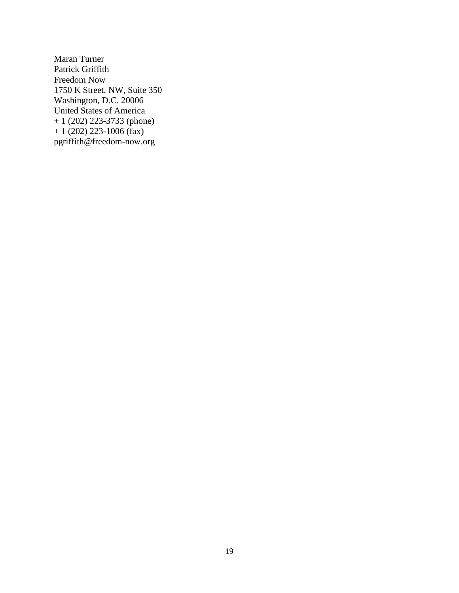Maran Turner Patrick Griffith Freedom Now 1750 K Street, NW, Suite 350 Washington, D.C. 20006 United States of America + 1 (202) 223-3733 (phone)  $+ 1 (202) 223-1006$  (fax) pgriffith@freedom-now.org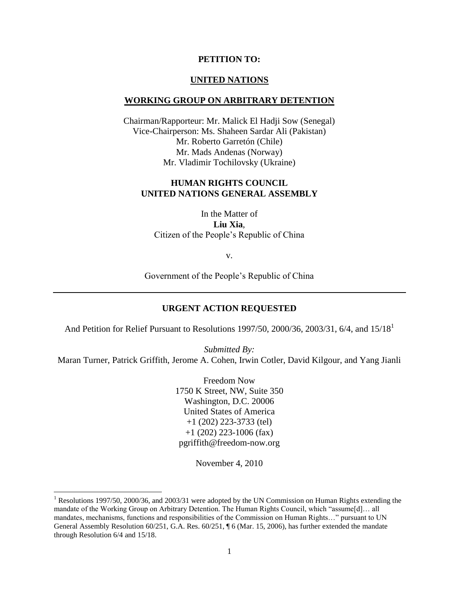### **PETITION TO:**

#### **UNITED NATIONS**

#### **WORKING GROUP ON ARBITRARY DETENTION**

Chairman/Rapporteur: Mr. Malick El Hadji Sow (Senegal) Vice-Chairperson: Ms. Shaheen Sardar Ali (Pakistan) Mr. Roberto Garretón (Chile) Mr. Mads Andenas (Norway) Mr. Vladimir Tochilovsky (Ukraine)

### **HUMAN RIGHTS COUNCIL UNITED NATIONS GENERAL ASSEMBLY**

In the Matter of **Liu Xia**, Citizen of the People"s Republic of China

v.

Government of the People"s Republic of China

### **URGENT ACTION REQUESTED**

And Petition for Relief Pursuant to Resolutions 1997/50, 2000/36, 2003/31, 6/4, and 15/18<sup>1</sup>

*Submitted By:* Maran Turner, Patrick Griffith, Jerome A. Cohen, Irwin Cotler, David Kilgour, and Yang Jianli

> Freedom Now 1750 K Street, NW, Suite 350 Washington, D.C. 20006 United States of America +1 (202) 223-3733 (tel) +1 (202) 223-1006 (fax) pgriffith@freedom-now.org

> > November 4, 2010

<sup>&</sup>lt;sup>1</sup> Resolutions 1997/50, 2000/36, and 2003/31 were adopted by the UN Commission on Human Rights extending the mandate of the Working Group on Arbitrary Detention. The Human Rights Council, which "assume[d]… all mandates, mechanisms, functions and responsibilities of the Commission on Human Rights…" pursuant to UN General Assembly Resolution 60/251, G.A. Res. 60/251, ¶ 6 (Mar. 15, 2006), has further extended the mandate through Resolution 6/4 and 15/18.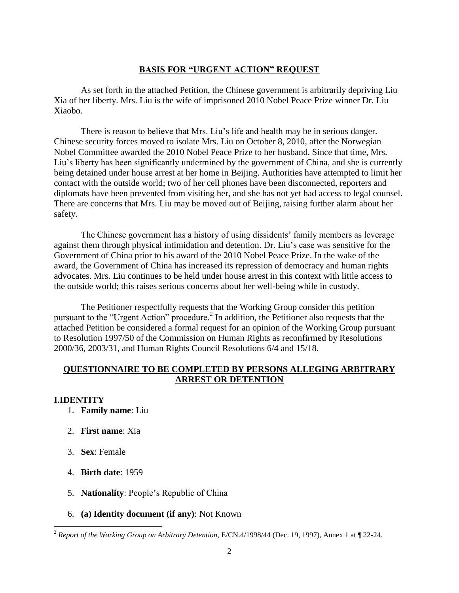### **BASIS FOR "URGENT ACTION" REQUEST**

As set forth in the attached Petition, the Chinese government is arbitrarily depriving Liu Xia of her liberty. Mrs. Liu is the wife of imprisoned 2010 Nobel Peace Prize winner Dr. Liu Xiaobo.

There is reason to believe that Mrs. Liu"s life and health may be in serious danger. Chinese security forces moved to isolate Mrs. Liu on October 8, 2010, after the Norwegian Nobel Committee awarded the 2010 Nobel Peace Prize to her husband. Since that time, Mrs. Liu"s liberty has been significantly undermined by the government of China, and she is currently being detained under house arrest at her home in Beijing. Authorities have attempted to limit her contact with the outside world; two of her cell phones have been disconnected, reporters and diplomats have been prevented from visiting her, and she has not yet had access to legal counsel. There are concerns that Mrs. Liu may be moved out of Beijing, raising further alarm about her safety.

The Chinese government has a history of using dissidents' family members as leverage against them through physical intimidation and detention. Dr. Liu"s case was sensitive for the Government of China prior to his award of the 2010 Nobel Peace Prize. In the wake of the award, the Government of China has increased its repression of democracy and human rights advocates. Mrs. Liu continues to be held under house arrest in this context with little access to the outside world; this raises serious concerns about her well-being while in custody.

The Petitioner respectfully requests that the Working Group consider this petition pursuant to the "Urgent Action" procedure.<sup>2</sup> In addition, the Petitioner also requests that the attached Petition be considered a formal request for an opinion of the Working Group pursuant to Resolution 1997/50 of the Commission on Human Rights as reconfirmed by Resolutions 2000/36, 2003/31, and Human Rights Council Resolutions 6/4 and 15/18.

### **QUESTIONNAIRE TO BE COMPLETED BY PERSONS ALLEGING ARBITRARY ARREST OR DETENTION**

#### **I.IDENTITY**

- 1. **Family name**: Liu
- 2. **First name**: Xia
- 3. **Sex**: Female
- 4. **Birth date**: 1959
- 5. **Nationality**: People"s Republic of China
- 6. **(a) Identity document (if any)**: Not Known

<sup>&</sup>lt;sup>2</sup> Report of the Working Group on Arbitrary Detention, E/CN.4/1998/44 (Dec. 19, 1997), Annex 1 at ¶ 22-24.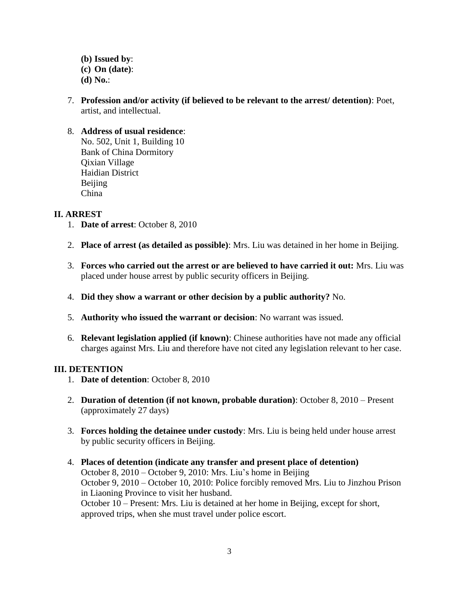- **(b) Issued by**: **(c) On (date)**: **(d) No.**:
- 7. **Profession and/or activity (if believed to be relevant to the arrest/ detention)**: Poet, artist, and intellectual.

# 8. **Address of usual residence**:

No. 502, Unit 1, Building 10 Bank of China Dormitory Qixian Village Haidian District Beijing China

## **II. ARREST**

- 1. **Date of arrest**: October 8, 2010
- 2. **Place of arrest (as detailed as possible)**: Mrs. Liu was detained in her home in Beijing.
- 3. **Forces who carried out the arrest or are believed to have carried it out:** Mrs. Liu was placed under house arrest by public security officers in Beijing.
- 4. **Did they show a warrant or other decision by a public authority?** No.
- 5. **Authority who issued the warrant or decision**: No warrant was issued.
- 6. **Relevant legislation applied (if known)**: Chinese authorities have not made any official charges against Mrs. Liu and therefore have not cited any legislation relevant to her case.

# **III. DETENTION**

- 1. **Date of detention**: October 8, 2010
- 2. **Duration of detention (if not known, probable duration)**: October 8, 2010 Present (approximately 27 days)
- 3. **Forces holding the detainee under custody**: Mrs. Liu is being held under house arrest by public security officers in Beijing.
- 4. **Places of detention (indicate any transfer and present place of detention)** October 8, 2010 – October 9, 2010: Mrs. Liu"s home in Beijing October 9, 2010 – October 10, 2010: Police forcibly removed Mrs. Liu to Jinzhou Prison in Liaoning Province to visit her husband. October 10 – Present: Mrs. Liu is detained at her home in Beijing, except for short, approved trips, when she must travel under police escort.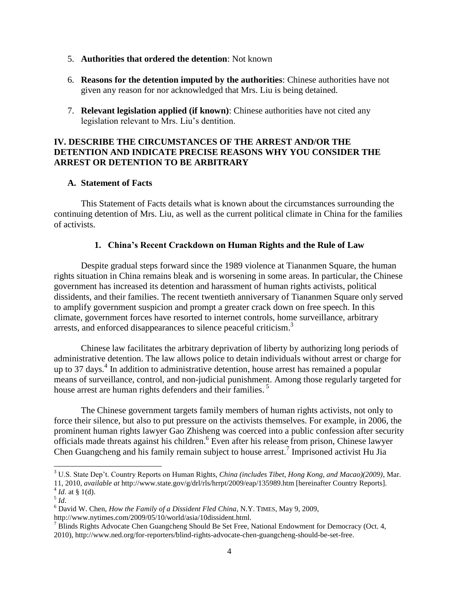- 5. **Authorities that ordered the detention**: Not known
- 6. **Reasons for the detention imputed by the authorities**: Chinese authorities have not given any reason for nor acknowledged that Mrs. Liu is being detained.
- 7. **Relevant legislation applied (if known)**: Chinese authorities have not cited any legislation relevant to Mrs. Liu's dentition.

# **IV. DESCRIBE THE CIRCUMSTANCES OF THE ARREST AND/OR THE DETENTION AND INDICATE PRECISE REASONS WHY YOU CONSIDER THE ARREST OR DETENTION TO BE ARBITRARY**

### **A. Statement of Facts**

This Statement of Facts details what is known about the circumstances surrounding the continuing detention of Mrs. Liu, as well as the current political climate in China for the families of activists.

## **1. China's Recent Crackdown on Human Rights and the Rule of Law**

Despite gradual steps forward since the 1989 violence at Tiananmen Square, the human rights situation in China remains bleak and is worsening in some areas. In particular, the Chinese government has increased its detention and harassment of human rights activists, political dissidents, and their families. The recent twentieth anniversary of Tiananmen Square only served to amplify government suspicion and prompt a greater crack down on free speech. In this climate, government forces have resorted to internet controls, home surveillance, arbitrary arrests, and enforced disappearances to silence peaceful criticism.<sup>3</sup>

Chinese law facilitates the arbitrary deprivation of liberty by authorizing long periods of administrative detention. The law allows police to detain individuals without arrest or charge for up to 37 days.<sup>4</sup> In addition to administrative detention, house arrest has remained a popular means of surveillance, control, and non-judicial punishment. Among those regularly targeted for house arrest are human rights defenders and their families.<sup>5</sup>

The Chinese government targets family members of human rights activists, not only to force their silence, but also to put pressure on the activists themselves. For example, in 2006, the prominent human rights lawyer Gao Zhisheng was coerced into a public confession after security officials made threats against his children.<sup>6</sup> Even after his release from prison, Chinese lawyer Chen Guangcheng and his family remain subject to house arrest.<sup>7</sup> Imprisoned activist Hu Jia

<sup>3</sup> U.S. State Dep"t. Country Reports on Human Rights, *China (includes Tibet, Hong Kong, and Macao)(2009)*, Mar. 11, 2010, *available at* http://www.state.gov/g/drl/rls/hrrpt/2009/eap/135989.htm [hereinafter Country Reports].  $^{4}$  *Id.* at § 1(d).

<sup>5</sup> *Id*.

<sup>6</sup> David W. Chen, *How the Family of a Dissident Fled China*, N.Y. TIMES, May 9, 2009,

http://www.nytimes.com/2009/05/10/world/asia/10dissident.html.

<sup>&</sup>lt;sup>7</sup> Blinds Rights Advocate Chen Guangcheng Should Be Set Free, National Endowment for Democracy (Oct. 4, 2010), http://www.ned.org/for-reporters/blind-rights-advocate-chen-guangcheng-should-be-set-free.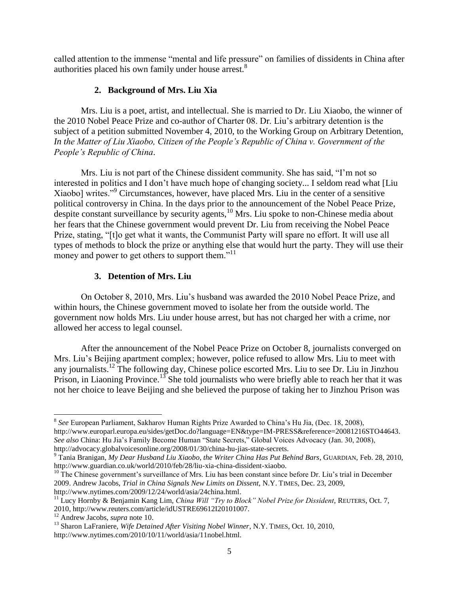called attention to the immense "mental and life pressure" on families of dissidents in China after authorities placed his own family under house arrest.<sup>8</sup>

## **2. Background of Mrs. Liu Xia**

Mrs. Liu is a poet, artist, and intellectual. She is married to Dr. Liu Xiaobo, the winner of the 2010 Nobel Peace Prize and co-author of Charter 08. Dr. Liu"s arbitrary detention is the subject of a petition submitted November 4, 2010, to the Working Group on Arbitrary Detention, *In the Matter of Liu Xiaobo, Citizen of the People"s Republic of China v. Government of the People"s Republic of China*.

Mrs. Liu is not part of the Chinese dissident community. She has said, "I"m not so interested in politics and I don"t have much hope of changing society... I seldom read what [Liu Xiaobo] writes."<sup>9</sup> Circumstances, however, have placed Mrs. Liu in the center of a sensitive political controversy in China. In the days prior to the announcement of the Nobel Peace Prize, despite constant surveillance by security agents, $10$  Mrs. Liu spoke to non-Chinese media about her fears that the Chinese government would prevent Dr. Liu from receiving the Nobel Peace Prize, stating, "[t]o get what it wants, the Communist Party will spare no effort. It will use all types of methods to block the prize or anything else that would hurt the party. They will use their money and power to get others to support them."<sup>11</sup>

# **3. Detention of Mrs. Liu**

On October 8, 2010, Mrs. Liu"s husband was awarded the 2010 Nobel Peace Prize, and within hours, the Chinese government moved to isolate her from the outside world. The government now holds Mrs. Liu under house arrest, but has not charged her with a crime, nor allowed her access to legal counsel.

After the announcement of the Nobel Peace Prize on October 8, journalists converged on Mrs. Liu"s Beijing apartment complex; however, police refused to allow Mrs. Liu to meet with any journalists.<sup>12</sup> The following day, Chinese police escorted Mrs. Liu to see Dr. Liu in Jinzhou Prison, in Liaoning Province.<sup>13</sup> She told journalists who were briefly able to reach her that it was not her choice to leave Beijing and she believed the purpose of taking her to Jinzhou Prison was

<sup>8</sup> *See* European Parliament, Sakharov Human Rights Prize Awarded to China"s Hu Jia, (Dec. 18, 2008), http://www.europarl.europa.eu/sides/getDoc.do?language=EN&type=IM-PRESS&reference=20081216STO44643. *See also* China: Hu Jia"s Family Become Human "State Secrets," Global Voices Advocacy (Jan. 30, 2008), http://advocacy.globalvoicesonline.org/2008/01/30/china-hu-jias-state-secrets.

<sup>9</sup> Tania Branigan, *My Dear Husband Liu Xiaobo, the Writer China Has Put Behind Bars*, GUARDIAN, Feb. 28, 2010, http://www.guardian.co.uk/world/2010/feb/28/liu-xia-china-dissident-xiaobo.

<sup>&</sup>lt;sup>10</sup> The Chinese government's surveillance of Mrs. Liu has been constant since before Dr. Liu's trial in December 2009. Andrew Jacobs, *Trial in China Signals New Limits on Dissent*, N.Y. TIMES, Dec. 23, 2009, http://www.nytimes.com/2009/12/24/world/asia/24china.html.

<sup>11</sup> Lucy Hornby & Benjamin Kang Lim, *China Will "Try to Block" Nobel Prize for Dissident*, REUTERS, Oct. 7, 2010, http://www.reuters.com/article/idUSTRE69612I20101007.

<sup>12</sup> Andrew Jacobs, *supra* note 10.

<sup>13</sup> Sharon LaFraniere, *Wife Detained After Visiting Nobel Winner*, N.Y. TIMES, Oct. 10, 2010, http://www.nytimes.com/2010/10/11/world/asia/11nobel.html.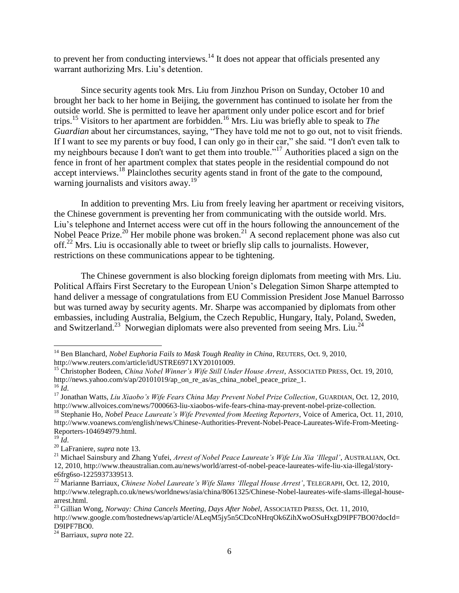to prevent her from conducting interviews. $14$  It does not appear that officials presented any warrant authorizing Mrs. Liu's detention.

Since security agents took Mrs. Liu from Jinzhou Prison on Sunday, October 10 and brought her back to her home in Beijing, the government has continued to isolate her from the outside world. She is permitted to leave her apartment only under police escort and for brief trips.<sup>15</sup> Visitors to her apartment are forbidden.<sup>16</sup> Mrs. Liu was briefly able to speak to *The Guardian* about her circumstances, saying, "They have told me not to go out, not to visit friends. If I want to see my parents or buy food, I can only go in their car," she said. "I don't even talk to my neighbours because I don't want to get them into trouble."<sup>17</sup> Authorities placed a sign on the fence in front of her apartment complex that states people in the residential compound do not accept interviews.<sup>18</sup> Plainclothes security agents stand in front of the gate to the compound, warning journalists and visitors away.<sup>19</sup>

In addition to preventing Mrs. Liu from freely leaving her apartment or receiving visitors, the Chinese government is preventing her from communicating with the outside world. Mrs. Liu"s telephone and Internet access were cut off in the hours following the announcement of the Nobel Peace Prize.<sup>20</sup> Her mobile phone was broken.<sup>21</sup> A second replacement phone was also cut off.<sup>22</sup> Mrs. Liu is occasionally able to tweet or briefly slip calls to journalists. However, restrictions on these communications appear to be tightening.

The Chinese government is also blocking foreign diplomats from meeting with Mrs. Liu. Political Affairs First Secretary to the European Union"s Delegation Simon Sharpe attempted to hand deliver a message of congratulations from EU Commission President Jose Manuel Barrosso but was turned away by security agents. Mr. Sharpe was accompanied by diplomats from other embassies, including Australia, Belgium, the Czech Republic, Hungary, Italy, Poland, Sweden, and Switzerland.<sup>23</sup> Norwegian diplomats were also prevented from seeing Mrs. Liu.<sup>24</sup>

<sup>14</sup> Ben Blanchard, *Nobel Euphoria Fails to Mask Tough Reality in China*, REUTERS, Oct. 9, 2010, http://www.reuters.com/article/idUSTRE6971XY20101009.

<sup>&</sup>lt;sup>15</sup> Christopher Bodeen, *China Nobel Winner's Wife Still Under House Arrest*, ASSOCIATED PRESS, Oct. 19, 2010, http://news.yahoo.com/s/ap/20101019/ap\_on\_re\_as/as\_china\_nobel\_peace\_prize\_1.  $^{16}$  *Id.* 

<sup>17</sup> Jonathan Watts, *Liu Xiaobo"s Wife Fears China May Prevent Nobel Prize Collection*, GUARDIAN, Oct. 12, 2010, http://www.allvoices.com/news/7000663-liu-xiaobos-wife-fears-china-may-prevent-nobel-prize-collection.

<sup>&</sup>lt;sup>18</sup> Stephanie Ho, *Nobel Peace Laureate's Wife Prevented from Meeting Reporters*, Voice of America, Oct. 11, 2010, http://www.voanews.com/english/news/Chinese-Authorities-Prevent-Nobel-Peace-Laureates-Wife-From-Meeting-Reporters-104694979.html.

 $^{19}$  *Id*.

<sup>20</sup> LaFraniere, *supra* note 13.

<sup>&</sup>lt;sup>21</sup> Michael Sainsbury and Zhang Yufei, *Arrest of Nobel Peace Laureate's Wife Liu Xia 'Illegal'*, AUSTRALIAN, Oct. 12, 2010, http://www.theaustralian.com.au/news/world/arrest-of-nobel-peace-laureates-wife-liu-xia-illegal/storye6frg6so-1225937339513.

<sup>&</sup>lt;sup>22</sup> Marianne Barriaux, *Chinese Nobel Laureate's Wife Slams 'Illegal House Arrest'*, TELEGRAPH, Oct. 12, 2010, http://www.telegraph.co.uk/news/worldnews/asia/china/8061325/Chinese-Nobel-laureates-wife-slams-illegal-housearrest.html.

<sup>23</sup> Gillian Wong, *Norway: China Cancels Meeting, Days After Nobel*, ASSOCIATED PRESS, Oct. 11, 2010, http://www.google.com/hostednews/ap/article/ALeqM5jy5n5CDcoNHrqOk6ZihXwoOSuHxgD9IPF7BO0?docId= D9IPF7BO0.

<sup>24</sup> Barriaux, *supra* note 22.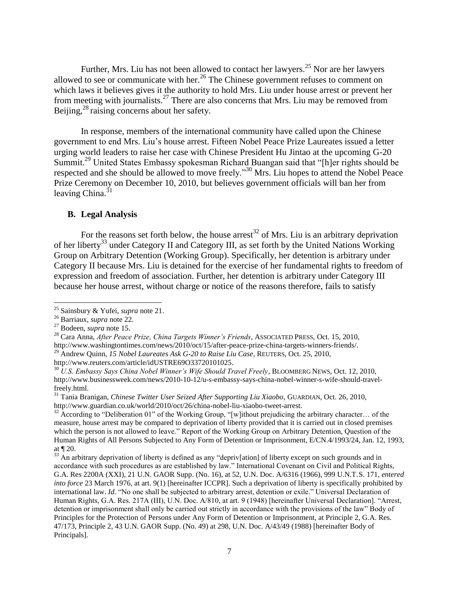Further, Mrs. Liu has not been allowed to contact her lawyers.<sup>25</sup> Nor are her lawyers allowed to see or communicate with her.<sup>26</sup> The Chinese government refuses to comment on which laws it believes gives it the authority to hold Mrs. Liu under house arrest or prevent her from meeting with journalists.<sup>27</sup> There are also concerns that Mrs. Liu may be removed from Beijing,<sup>28</sup> raising concerns about her safety.

In response, members of the international community have called upon the Chinese government to end Mrs. Liu"s house arrest. Fifteen Nobel Peace Prize Laureates issued a letter urging world leaders to raise her case with Chinese President Hu Jintao at the upcoming G-20 Summit.<sup>29</sup> United States Embassy spokesman Richard Buangan said that "[h]er rights should be respected and she should be allowed to move freely."<sup>30</sup> Mrs. Liu hopes to attend the Nobel Peace Prize Ceremony on December 10, 2010, but believes government officials will ban her from leaving China. $31$ 

### **B. Legal Analysis**

For the reasons set forth below, the house arrest<sup>32</sup> of Mrs. Liu is an arbitrary deprivation of her liberty<sup>33</sup> under Category II and Category III, as set forth by the United Nations Working Group on Arbitrary Detention (Working Group). Specifically, her detention is arbitrary under Category II because Mrs. Liu is detained for the exercise of her fundamental rights to freedom of expression and freedom of association. Further, her detention is arbitrary under Category III because her house arrest, without charge or notice of the reasons therefore, fails to satisfy

l

<sup>25</sup> Sainsbury & Yufei, *supra* note 21.

<sup>26</sup> Barriaux, *supra* note 22.

<sup>27</sup> Bodeen, *supra* note 15.

<sup>28</sup> Cara Anna, *After Peace Prize, China Targets Winner"s Friends*, ASSOCIATED PRESS, Oct. 15, 2010,

http://www.washingtontimes.com/news/2010/oct/15/after-peace-prize-china-targets-winners-friends/.

<sup>29</sup> Andrew Quinn, *15 Nobel Laureates Ask G-20 to Raise Liu Case*, REUTERS, Oct. 25, 2010, http://www.reuters.com/article/idUSTRE69O33720101025.

<sup>30</sup> *U.S. Embassy Says China Nobel Winner"s Wife Should Travel Freely*, BLOOMBERG NEWS, Oct. 12, 2010, http://www.businessweek.com/news/2010-10-12/u-s-embassy-says-china-nobel-winner-s-wife-should-travelfreely.html.

<sup>31</sup> Tania Branigan*, Chinese Twitter User Seized After Supporting Liu Xiaobo*, GUARDIAN, Oct. 26, 2010, http://www.guardian.co.uk/world/2010/oct/26/china-nobel-liu-xiaobo-tweet-arrest.

 $32$  According to "Deliberation 01" of the Working Group, "[w]ithout prejudicing the arbitrary character... of the measure, house arrest may be compared to deprivation of liberty provided that it is carried out in closed premises which the person is not allowed to leave." Report of the Working Group on Arbitrary Detention, Question of the Human Rights of All Persons Subjected to Any Form of Detention or Imprisonment, E/CN.4/1993/24, Jan. 12, 1993, at ¶ 20.

 $33$  An arbitrary deprivation of liberty is defined as any "depriv[ation] of liberty except on such grounds and in accordance with such procedures as are established by law." International Covenant on Civil and Political Rights, G.A. Res 2200A (XXI), 21 U.N. GAOR Supp. (No. 16), at 52, U.N. Doc. A/6316 (1966), 999 U.N.T.S. 171, *entered into force* 23 March 1976, at art. 9(1) [hereinafter ICCPR]. Such a deprivation of liberty is specifically prohibited by international law. *Id.* "No one shall be subjected to arbitrary arrest, detention or exile." Universal Declaration of Human Rights, G.A. Res. 217A (III), U.N. Doc. A/810, at art. 9 (1948) [hereinafter Universal Declaration]. "Arrest, detention or imprisonment shall only be carried out strictly in accordance with the provisions of the law" Body of Principles for the Protection of Persons under Any Form of Detention or Imprisonment, at Principle 2, G.A. Res. 47/173, Principle 2, 43 U.N. GAOR Supp. (No. 49) at 298, U.N. Doc. A/43/49 (1988) [hereinafter Body of Principals].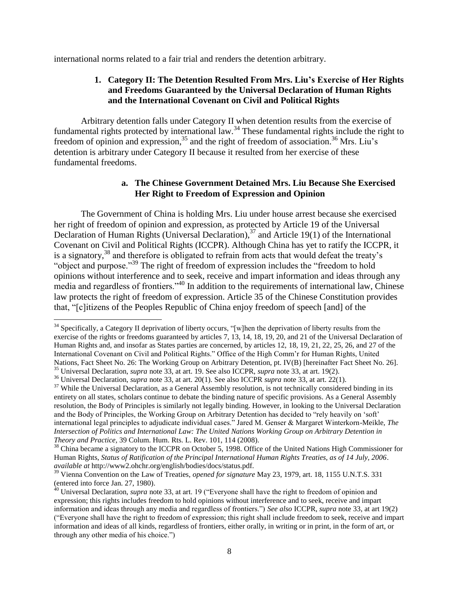international norms related to a fair trial and renders the detention arbitrary.

### **1. Category II: The Detention Resulted From Mrs. Liu's Exercise of Her Rights and Freedoms Guaranteed by the Universal Declaration of Human Rights and the International Covenant on Civil and Political Rights**

Arbitrary detention falls under Category II when detention results from the exercise of fundamental rights protected by international law.<sup>34</sup> These fundamental rights include the right to freedom of opinion and expression,  $35$  and the right of freedom of association.  $36$  Mrs. Liu's detention is arbitrary under Category II because it resulted from her exercise of these fundamental freedoms.

### **a. The Chinese Government Detained Mrs. Liu Because She Exercised Her Right to Freedom of Expression and Opinion**

The Government of China is holding Mrs. Liu under house arrest because she exercised her right of freedom of opinion and expression, as protected by Article 19 of the Universal Declaration of Human Rights (Universal Declaration),<sup>37</sup> and Article 19(1) of the International Covenant on Civil and Political Rights (ICCPR). Although China has yet to ratify the ICCPR, it is a signatory,<sup>38</sup> and therefore is obligated to refrain from acts that would defeat the treaty's "object and purpose."<sup>39</sup> The right of freedom of expression includes the "freedom to hold" opinions without interference and to seek, receive and impart information and ideas through any media and regardless of frontiers."<sup>40</sup> In addition to the requirements of international law, Chinese law protects the right of freedom of expression. Article 35 of the Chinese Constitution provides that, "[c]itizens of the Peoples Republic of China enjoy freedom of speech [and] of the

<sup>&</sup>lt;sup>34</sup> Specifically, a Category II deprivation of liberty occurs, "[w]hen the deprivation of liberty results from the exercise of the rights or freedoms guaranteed by articles 7, 13, 14, 18, 19, 20, and 21 of the Universal Declaration of Human Rights and, and insofar as States parties are concerned, by articles 12, 18, 19, 21, 22, 25, 26, and 27 of the International Covenant on Civil and Political Rights." Office of the High Comm"r for Human Rights, United Nations, Fact Sheet No. 26: The Working Group on Arbitrary Detention, pt. IV(B) [hereinafter Fact Sheet No. 26]. <sup>35</sup> Universal Declaration, *supra* note 33, at art. 19. See also ICCPR, *supra* note 33, at art. 19(2).

<sup>36</sup> Universal Declaration, *supra* note 33, at art. 20(1). See also ICCPR *supra* note 33, at art. 22(1).

<sup>&</sup>lt;sup>37</sup> While the Universal Declaration, as a General Assembly resolution, is not technically considered binding in its entirety on all states, scholars continue to debate the binding nature of specific provisions. As a General Assembly resolution, the Body of Principles is similarly not legally binding. However, in looking to the Universal Declaration and the Body of Principles, the Working Group on Arbitrary Detention has decided to "rely heavily on "soft" international legal principles to adjudicate individual cases." Jared M. Genser & Margaret Winterkorn-Meikle, *The Intersection of Politics and International Law: The United Nations Working Group on Arbitrary Detention in Theory and Practice,* 39 Colum. Hum. Rts. L. Rev. 101, 114 (2008).

<sup>&</sup>lt;sup>38</sup> China became a signatory to the ICCPR on October 5, 1998. Office of the United Nations High Commissioner for Human Rights, *Status of Ratification of the Principal International Human Rights Treaties, as of 14 July, 2006*. *available at* http://www2.ohchr.org/english/bodies/docs/status.pdf.

<sup>39</sup> Vienna Convention on the Law of Treaties, *opened for signature* May 23, 1979, art. 18, 1155 U.N.T.S. 331 (entered into force Jan. 27, 1980).

<sup>&</sup>lt;sup>40</sup> Universal Declaration, *supra* note 33, at art. 19 ("Everyone shall have the right to freedom of opinion and expression; this rights includes freedom to hold opinions without interference and to seek, receive and impart information and ideas through any media and regardless of frontiers.") *See also* ICCPR, *supra* note 33, at art 19(2) ("Everyone shall have the right to freedom of expression; this right shall include freedom to seek, receive and impart information and ideas of all kinds, regardless of frontiers, either orally, in writing or in print, in the form of art, or through any other media of his choice.")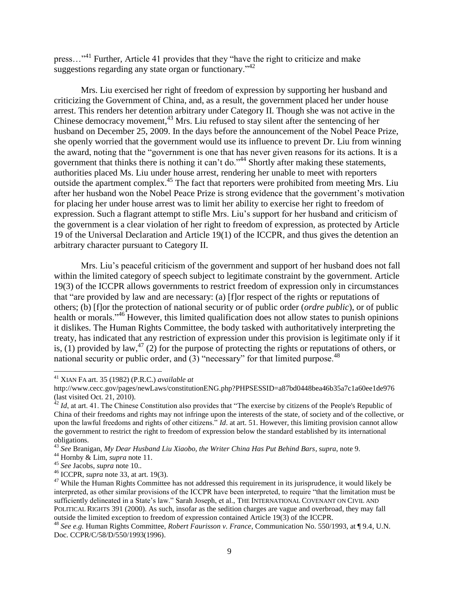press…"<sup>41</sup> Further, Article 41 provides that they "have the right to criticize and make suggestions regarding any state organ or functionary.<sup>"42</sup>

Mrs. Liu exercised her right of freedom of expression by supporting her husband and criticizing the Government of China, and, as a result, the government placed her under house arrest. This renders her detention arbitrary under Category II. Though she was not active in the Chinese democracy movement,  $43$  Mrs. Liu refused to stay silent after the sentencing of her husband on December 25, 2009. In the days before the announcement of the Nobel Peace Prize, she openly worried that the government would use its influence to prevent Dr. Liu from winning the award, noting that the "government is one that has never given reasons for its actions. It is a government that thinks there is nothing it can"t do."<sup>44</sup> Shortly after making these statements, authorities placed Ms. Liu under house arrest, rendering her unable to meet with reporters outside the apartment complex.<sup>45</sup> The fact that reporters were prohibited from meeting Mrs. Liu after her husband won the Nobel Peace Prize is strong evidence that the government"s motivation for placing her under house arrest was to limit her ability to exercise her right to freedom of expression. Such a flagrant attempt to stifle Mrs. Liu"s support for her husband and criticism of the government is a clear violation of her right to freedom of expression, as protected by Article 19 of the Universal Declaration and Article 19(1) of the ICCPR, and thus gives the detention an arbitrary character pursuant to Category II.

Mrs. Liu"s peaceful criticism of the government and support of her husband does not fall within the limited category of speech subject to legitimate constraint by the government. Article 19(3) of the ICCPR allows governments to restrict freedom of expression only in circumstances that "are provided by law and are necessary: (a) [f]or respect of the rights or reputations of others; (b) [f]or the protection of national security or of public order (*ordre public*), or of public health or morals."<sup>46</sup> However, this limited qualification does not allow states to punish opinions it dislikes. The Human Rights Committee, the body tasked with authoritatively interpreting the treaty, has indicated that any restriction of expression under this provision is legitimate only if it is, (1) provided by law,<sup>47</sup> (2) for the purpose of protecting the rights or reputations of others, or national security or public order, and  $(3)$  "necessary" for that limited purpose.<sup>48</sup>

<sup>41</sup> XIAN FA art. 35 (1982) (P.R.C.) *available at* 

http://www.cecc.gov/pages/newLaws/constitutionENG.php?PHPSESSID=a87bd0448bea46b35a7c1a60ee1de976 (last visited Oct. 21, 2010).

<sup>&</sup>lt;sup>42</sup> *Id*, at art. 41. The Chinese Constitution also provides that "The exercise by citizens of the People's Republic of China of their freedoms and rights may not infringe upon the interests of the state, of society and of the collective, or upon the lawful freedoms and rights of other citizens." *Id*. at art. 51. However, this limiting provision cannot allow the government to restrict the right to freedom of expression below the standard established by its international obligations.

<sup>43</sup> *See* Branigan, *My Dear Husband Liu Xiaobo, the Writer China Has Put Behind Bars*, s*upra*, note 9.

<sup>44</sup> Hornby & Lim, *supra* note 11.

<sup>45</sup> *See* Jacobs, *supra* note 10..

<sup>46</sup> ICCPR, *supra* note 33, at art. 19(3).

<sup>&</sup>lt;sup>47</sup> While the Human Rights Committee has not addressed this requirement in its jurisprudence, it would likely be interpreted, as other similar provisions of the ICCPR have been interpreted, to require "that the limitation must be sufficiently delineated in a State"s law." Sarah Joseph, et al., THE INTERNATIONAL COVENANT ON CIVIL AND POLITICAL RIGHTS 391 (2000). As such, insofar as the sedition charges are vague and overbroad, they may fall outside the limited exception to freedom of expression contained Article 19(3) of the ICCPR.

<sup>48</sup> *See e.g.* Human Rights Committee, *Robert Faurisson v. France*, Communication No. 550/1993, at ¶ 9.4, U.N. Doc. CCPR/C/58/D/550/1993(1996).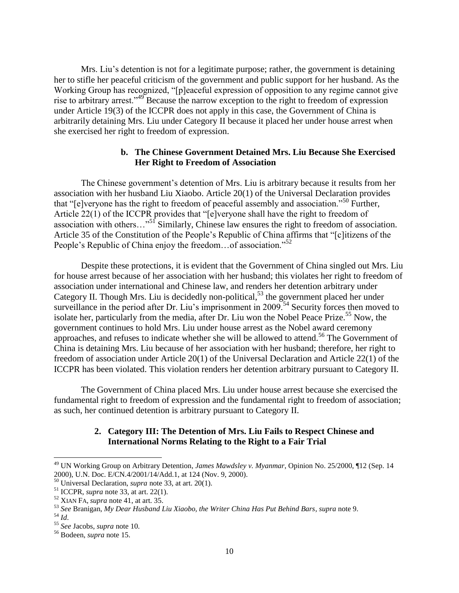Mrs. Liu"s detention is not for a legitimate purpose; rather, the government is detaining her to stifle her peaceful criticism of the government and public support for her husband. As the Working Group has recognized, "[p]eaceful expression of opposition to any regime cannot give rise to arbitrary arrest.<sup>349</sup> Because the narrow exception to the right to freedom of expression under Article 19(3) of the ICCPR does not apply in this case, the Government of China is arbitrarily detaining Mrs. Liu under Category II because it placed her under house arrest when she exercised her right to freedom of expression.

### **b. The Chinese Government Detained Mrs. Liu Because She Exercised Her Right to Freedom of Association**

The Chinese government"s detention of Mrs. Liu is arbitrary because it results from her association with her husband Liu Xiaobo. Article 20(1) of the Universal Declaration provides that "[e]veryone has the right to freedom of peaceful assembly and association."<sup>50</sup> Further, Article 22(1) of the ICCPR provides that "[e]veryone shall have the right to freedom of association with others…"<sup>51</sup> Similarly, Chinese law ensures the right to freedom of association. Article 35 of the Constitution of the People"s Republic of China affirms that "[c]itizens of the People's Republic of China enjoy the freedom...of association."<sup>52</sup>

Despite these protections, it is evident that the Government of China singled out Mrs. Liu for house arrest because of her association with her husband; this violates her right to freedom of association under international and Chinese law, and renders her detention arbitrary under Category II. Though Mrs. Liu is decidedly non-political,<sup>53</sup> the government placed her under surveillance in the period after Dr. Liu's imprisonment in  $2009$ .<sup>54</sup> Security forces then moved to isolate her, particularly from the media, after Dr. Liu won the Nobel Peace Prize.<sup>55</sup> Now, the government continues to hold Mrs. Liu under house arrest as the Nobel award ceremony approaches, and refuses to indicate whether she will be allowed to attend.<sup>56</sup> The Government of China is detaining Mrs. Liu because of her association with her husband; therefore, her right to freedom of association under Article 20(1) of the Universal Declaration and Article 22(1) of the ICCPR has been violated. This violation renders her detention arbitrary pursuant to Category II.

The Government of China placed Mrs. Liu under house arrest because she exercised the fundamental right to freedom of expression and the fundamental right to freedom of association; as such, her continued detention is arbitrary pursuant to Category II.

## **2. Category III: The Detention of Mrs. Liu Fails to Respect Chinese and International Norms Relating to the Right to a Fair Trial**

<sup>49</sup> UN Working Group on Arbitrary Detention, *James Mawdsley v. Myanmar*, Opinion No. 25/2000, ¶12 (Sep. 14 2000), U.N. Doc. E/CN.4/2001/14/Add.1, at 124 (Nov. 9, 2000).

<sup>50</sup> Universal Declaration, *supra* note 33, at art. 20(1).

<sup>51</sup> ICCPR, *supra* note 33, at art. 22(1).

<sup>52</sup> XIAN FA, *supra* note 41, at art. 35.

<sup>53</sup> *See* Branigan, *My Dear Husband Liu Xiaobo, the Writer China Has Put Behind Bars*, *supra* note 9. <sup>54</sup> *Id*.

<sup>55</sup> *See* Jacobs, *supra* note 10.

<sup>56</sup> Bodeen, *supra* note 15.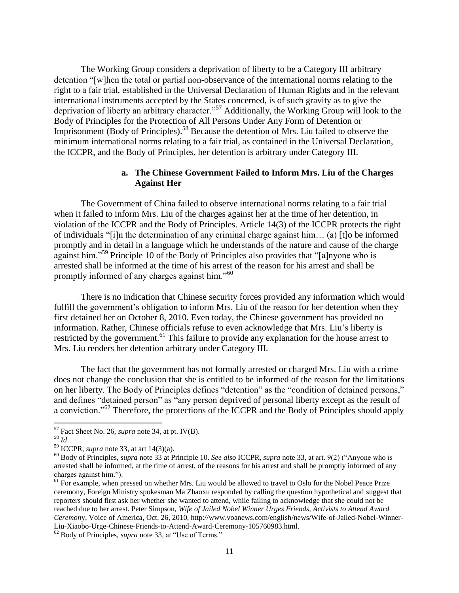The Working Group considers a deprivation of liberty to be a Category III arbitrary detention "[w]hen the total or partial non-observance of the international norms relating to the right to a fair trial, established in the Universal Declaration of Human Rights and in the relevant international instruments accepted by the States concerned, is of such gravity as to give the deprivation of liberty an arbitrary character."<sup>57</sup> Additionally, the Working Group will look to the Body of Principles for the Protection of All Persons Under Any Form of Detention or Imprisonment (Body of Principles). <sup>58</sup> Because the detention of Mrs. Liu failed to observe the minimum international norms relating to a fair trial, as contained in the Universal Declaration, the ICCPR, and the Body of Principles, her detention is arbitrary under Category III.

### **a. The Chinese Government Failed to Inform Mrs. Liu of the Charges Against Her**

The Government of China failed to observe international norms relating to a fair trial when it failed to inform Mrs. Liu of the charges against her at the time of her detention, in violation of the ICCPR and the Body of Principles. Article 14(3) of the ICCPR protects the right of individuals "[i]n the determination of any criminal charge against him… (a) [t]o be informed promptly and in detail in a language which he understands of the nature and cause of the charge against him."<sup>59</sup> Principle 10 of the Body of Principles also provides that "[a]nyone who is arrested shall be informed at the time of his arrest of the reason for his arrest and shall be promptly informed of any charges against him."<sup>60</sup>

There is no indication that Chinese security forces provided any information which would fulfill the government's obligation to inform Mrs. Liu of the reason for her detention when they first detained her on October 8, 2010. Even today, the Chinese government has provided no information. Rather, Chinese officials refuse to even acknowledge that Mrs. Liu"s liberty is restricted by the government.<sup>61</sup> This failure to provide any explanation for the house arrest to Mrs. Liu renders her detention arbitrary under Category III.

The fact that the government has not formally arrested or charged Mrs. Liu with a crime does not change the conclusion that she is entitled to be informed of the reason for the limitations on her liberty. The Body of Principles defines "detention" as the "condition of detained persons," and defines "detained person" as "any person deprived of personal liberty except as the result of a conviction."<sup>62</sup> Therefore, the protections of the ICCPR and the Body of Principles should apply

<sup>57</sup> Fact Sheet No. 26, *supra* note 34, at pt. IV(B).

<sup>58</sup> *Id*.

<sup>59</sup> ICCPR, *supra* note 33, at art 14(3)(a).

<sup>60</sup> Body of Principles, *supra* note 33 at Principle 10. *See also* ICCPR, *supra* note 33, at art. 9(2) ("Anyone who is arrested shall be informed, at the time of arrest, of the reasons for his arrest and shall be promptly informed of any charges against him.").

<sup>&</sup>lt;sup>61</sup> For example, when pressed on whether Mrs. Liu would be allowed to travel to Oslo for the Nobel Peace Prize ceremony, Foreign Ministry spokesman Ma Zhaoxu responded by calling the question hypothetical and suggest that reporters should first ask her whether she wanted to attend, while failing to acknowledge that she could not be reached due to her arrest. Peter Simpson, *Wife of Jailed Nobel Winner Urges Friends, Activists to Attend Award Ceremon*y, Voice of America, Oct. 26, 2010, http://www.voanews.com/english/news/Wife-of-Jailed-Nobel-Winner-Liu-Xiaobo-Urge-Chinese-Friends-to-Attend-Award-Ceremony-105760983.html.

<sup>62</sup> Body of Principles, *supra* note 33, at "Use of Terms."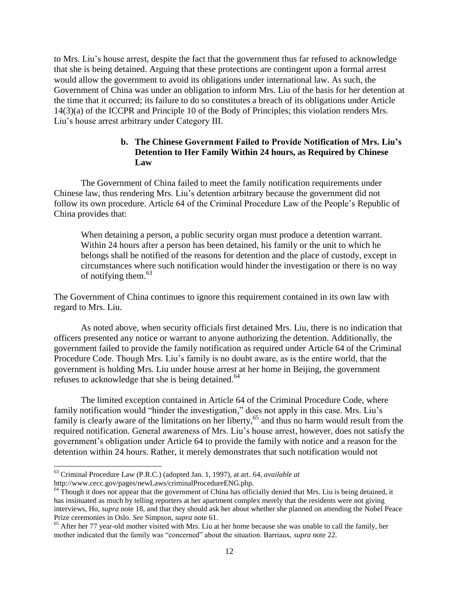to Mrs. Liu"s house arrest, despite the fact that the government thus far refused to acknowledge that she is being detained. Arguing that these protections are contingent upon a formal arrest would allow the government to avoid its obligations under international law. As such, the Government of China was under an obligation to inform Mrs. Liu of the basis for her detention at the time that it occurred; its failure to do so constitutes a breach of its obligations under Article 14(3)(a) of the ICCPR and Principle 10 of the Body of Principles; this violation renders Mrs. Liu"s house arrest arbitrary under Category III.

## **b. The Chinese Government Failed to Provide Notification of Mrs. Liu's Detention to Her Family Within 24 hours, as Required by Chinese Law**

The Government of China failed to meet the family notification requirements under Chinese law, thus rendering Mrs. Liu"s detention arbitrary because the government did not follow its own procedure. Article 64 of the Criminal Procedure Law of the People"s Republic of China provides that:

When detaining a person, a public security organ must produce a detention warrant. Within 24 hours after a person has been detained, his family or the unit to which he belongs shall be notified of the reasons for detention and the place of custody, except in circumstances where such notification would hinder the investigation or there is no way of notifying them. $63$ 

The Government of China continues to ignore this requirement contained in its own law with regard to Mrs. Liu.

As noted above, when security officials first detained Mrs. Liu, there is no indication that officers presented any notice or warrant to anyone authorizing the detention. Additionally, the government failed to provide the family notification as required under Article 64 of the Criminal Procedure Code. Though Mrs. Liu"s family is no doubt aware, as is the entire world, that the government is holding Mrs. Liu under house arrest at her home in Beijing, the government refuses to acknowledge that she is being detained.<sup>64</sup>

The limited exception contained in Article 64 of the Criminal Procedure Code, where family notification would "hinder the investigation," does not apply in this case. Mrs. Liu's family is clearly aware of the limitations on her liberty,<sup>65</sup> and thus no harm would result from the required notification. General awareness of Mrs. Liu"s house arrest, however, does not satisfy the government"s obligation under Article 64 to provide the family with notice and a reason for the detention within 24 hours. Rather, it merely demonstrates that such notification would not

<sup>63</sup> Criminal Procedure Law (P.R.C.) (adopted Jan. 1, 1997), at art. 64, *available at* http://www.cecc.gov/pages/newLaws/criminalProcedureENG.php.

 $64$  Though it does not appear that the government of China has officially denied that Mrs. Liu is being detained, it has insinuated as much by telling reporters at her apartment complex merely that the residents were not giving interviews, Ho, *supra* note 18, and that they should ask her about whether she planned on attending the Nobel Peace Prize ceremonies in Oslo. *See* Simpson, *supra* note 61.

<sup>&</sup>lt;sup>65</sup> After her 77 year-old mother visited with Mrs. Liu at her home because she was unable to call the family, her mother indicated that the family was "concerned" about the situation. Barriaux, *supra* note 22.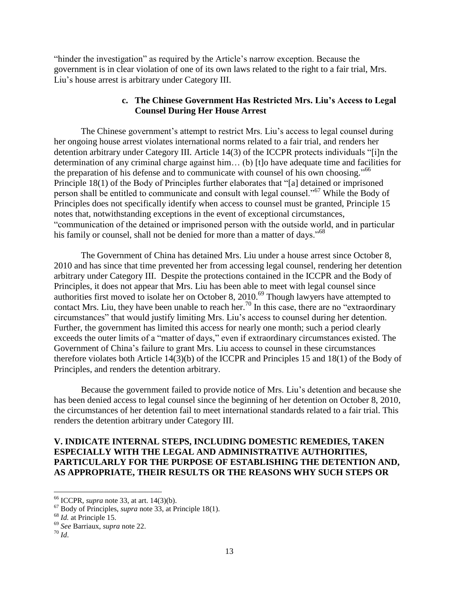"hinder the investigation" as required by the Article"s narrow exception. Because the government is in clear violation of one of its own laws related to the right to a fair trial, Mrs. Liu"s house arrest is arbitrary under Category III.

## **c. The Chinese Government Has Restricted Mrs. Liu's Access to Legal Counsel During Her House Arrest**

The Chinese government's attempt to restrict Mrs. Liu's access to legal counsel during her ongoing house arrest violates international norms related to a fair trial, and renders her detention arbitrary under Category III. Article 14(3) of the ICCPR protects individuals "[i]n the determination of any criminal charge against him… (b) [t]o have adequate time and facilities for the preparation of his defense and to communicate with counsel of his own choosing."<sup>66</sup> Principle 18(1) of the Body of Principles further elaborates that "[a] detained or imprisoned person shall be entitled to communicate and consult with legal counsel."<sup>67</sup> While the Body of Principles does not specifically identify when access to counsel must be granted, Principle 15 notes that, notwithstanding exceptions in the event of exceptional circumstances, "communication of the detained or imprisoned person with the outside world, and in particular his family or counsel, shall not be denied for more than a matter of days."<sup>68</sup>

The Government of China has detained Mrs. Liu under a house arrest since October 8, 2010 and has since that time prevented her from accessing legal counsel, rendering her detention arbitrary under Category III. Despite the protections contained in the ICCPR and the Body of Principles, it does not appear that Mrs. Liu has been able to meet with legal counsel since authorities first moved to isolate her on October 8, 2010.<sup>69</sup> Though lawyers have attempted to contact Mrs. Liu, they have been unable to reach her.<sup>70</sup> In this case, there are no "extraordinary" circumstances" that would justify limiting Mrs. Liu"s access to counsel during her detention. Further, the government has limited this access for nearly one month; such a period clearly exceeds the outer limits of a "matter of days," even if extraordinary circumstances existed. The Government of China"s failure to grant Mrs. Liu access to counsel in these circumstances therefore violates both Article 14(3)(b) of the ICCPR and Principles 15 and 18(1) of the Body of Principles, and renders the detention arbitrary.

Because the government failed to provide notice of Mrs. Liu"s detention and because she has been denied access to legal counsel since the beginning of her detention on October 8, 2010, the circumstances of her detention fail to meet international standards related to a fair trial. This renders the detention arbitrary under Category III.

## **V. INDICATE INTERNAL STEPS, INCLUDING DOMESTIC REMEDIES, TAKEN ESPECIALLY WITH THE LEGAL AND ADMINISTRATIVE AUTHORITIES, PARTICULARLY FOR THE PURPOSE OF ESTABLISHING THE DETENTION AND, AS APPROPRIATE, THEIR RESULTS OR THE REASONS WHY SUCH STEPS OR**

<sup>66</sup> ICCPR, *supra* note 33, at art. 14(3)(b).

<sup>67</sup> Body of Principles, *supra* note 33, at Principle 18(1).

<sup>68</sup> *Id.* at Principle 15.

<sup>69</sup> *See* Barriaux, *supra* note 22.

 $70$  *Id.*